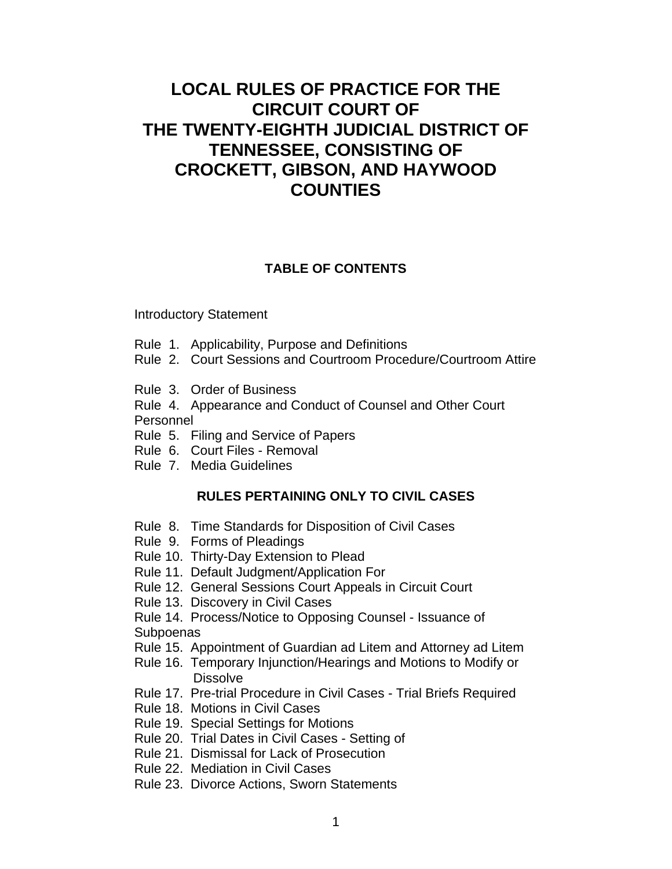# **LOCAL RULES OF PRACTICE FOR THE CIRCUIT COURT OF THE TWENTY-EIGHTH JUDICIAL DISTRICT OF TENNESSEE, CONSISTING OF CROCKETT, GIBSON, AND HAYWOOD COUNTIES**

# **TABLE OF CONTENTS**

Introductory Statement

- Rule 1. Applicability, Purpose and Definitions
- Rule 2. Court Sessions and Courtroom Procedure/Courtroom Attire
- Rule 3. Order of Business
- Rule 4. Appearance and Conduct of Counsel and Other Court Personnel
- Rule 5. Filing and Service of Papers
- Rule 6. Court Files Removal
- Rule 7. Media Guidelines

# **RULES PERTAINING ONLY TO CIVIL CASES**

- Rule 8. Time Standards for Disposition of Civil Cases
- Rule 9. Forms of Pleadings
- Rule 10. Thirty-Day Extension to Plead
- Rule 11. Default Judgment/Application For
- Rule 12. General Sessions Court Appeals in Circuit Court
- Rule 13. Discovery in Civil Cases

Rule 14. Process/Notice to Opposing Counsel - Issuance of **Subpoenas** 

- Rule 15. Appointment of Guardian ad Litem and Attorney ad Litem
- Rule 16. Temporary Injunction/Hearings and Motions to Modify or **Dissolve**
- Rule 17. Pre-trial Procedure in Civil Cases Trial Briefs Required
- Rule 18. Motions in Civil Cases
- Rule 19. Special Settings for Motions
- Rule 20. Trial Dates in Civil Cases Setting of
- Rule 21. Dismissal for Lack of Prosecution
- Rule 22. Mediation in Civil Cases
- Rule 23. Divorce Actions, Sworn Statements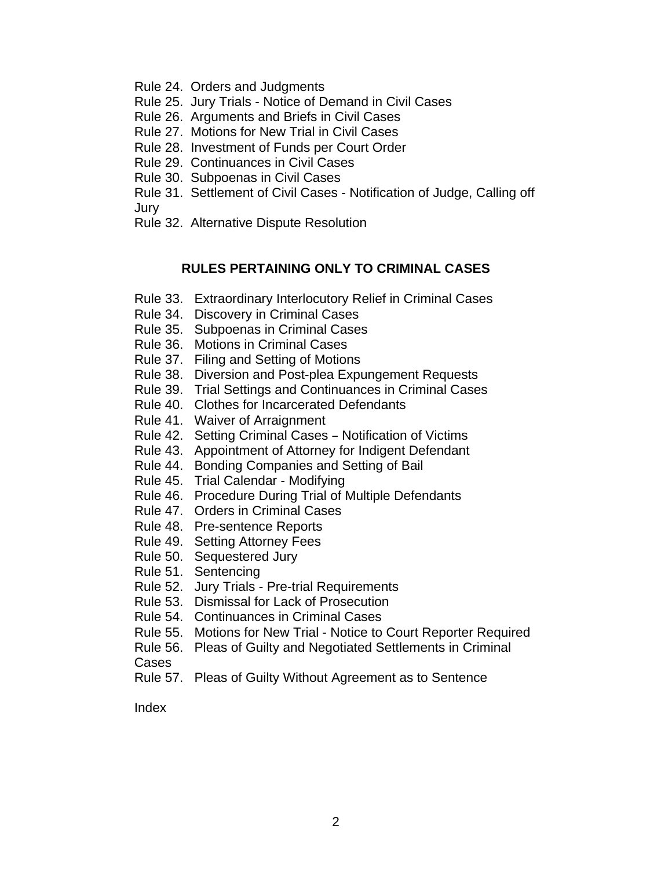- Rule 24. Orders and Judgments
- Rule 25. Jury Trials Notice of Demand in Civil Cases
- Rule 26. Arguments and Briefs in Civil Cases
- Rule 27. Motions for New Trial in Civil Cases
- Rule 28. Investment of Funds per Court Order
- Rule 29. Continuances in Civil Cases
- Rule 30. Subpoenas in Civil Cases
- Rule 31. Settlement of Civil Cases Notification of Judge, Calling off Jury
- Rule 32. Alternative Dispute Resolution

# **RULES PERTAINING ONLY TO CRIMINAL CASES**

- Rule 33. Extraordinary Interlocutory Relief in Criminal Cases
- Rule 34. Discovery in Criminal Cases
- Rule 35. Subpoenas in Criminal Cases
- Rule 36. Motions in Criminal Cases
- Rule 37. Filing and Setting of Motions
- Rule 38. Diversion and Post-plea Expungement Requests
- Rule 39. Trial Settings and Continuances in Criminal Cases
- Rule 40. Clothes for Incarcerated Defendants
- Rule 41. Waiver of Arraignment
- Rule 42. Setting Criminal Cases Notification of Victims
- Rule 43. Appointment of Attorney for Indigent Defendant
- Rule 44. Bonding Companies and Setting of Bail
- Rule 45. Trial Calendar Modifying
- Rule 46. Procedure During Trial of Multiple Defendants
- Rule 47. Orders in Criminal Cases
- Rule 48. Pre-sentence Reports
- Rule 49. Setting Attorney Fees
- Rule 50. Sequestered Jury
- Rule 51. Sentencing
- Rule 52. Jury Trials Pre-trial Requirements
- Rule 53. Dismissal for Lack of Prosecution
- Rule 54. Continuances in Criminal Cases
- Rule 55. Motions for New Trial Notice to Court Reporter Required
- Rule 56. Pleas of Guilty and Negotiated Settlements in Criminal

# Cases

Rule 57. Pleas of Guilty Without Agreement as to Sentence

Index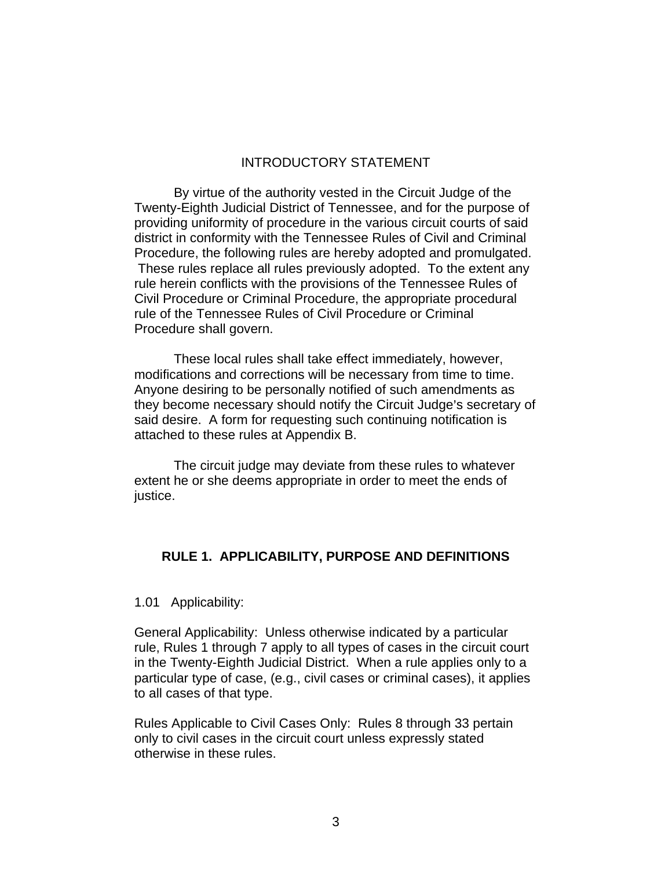# INTRODUCTORY STATEMENT

By virtue of the authority vested in the Circuit Judge of the Twenty-Eighth Judicial District of Tennessee, and for the purpose of providing uniformity of procedure in the various circuit courts of said district in conformity with the Tennessee Rules of Civil and Criminal Procedure, the following rules are hereby adopted and promulgated. These rules replace all rules previously adopted. To the extent any rule herein conflicts with the provisions of the Tennessee Rules of Civil Procedure or Criminal Procedure, the appropriate procedural rule of the Tennessee Rules of Civil Procedure or Criminal Procedure shall govern.

These local rules shall take effect immediately, however, modifications and corrections will be necessary from time to time. Anyone desiring to be personally notified of such amendments as they become necessary should notify the Circuit Judge's secretary of said desire. A form for requesting such continuing notification is attached to these rules at Appendix B.

The circuit judge may deviate from these rules to whatever extent he or she deems appropriate in order to meet the ends of justice.

# **RULE 1. APPLICABILITY, PURPOSE AND DEFINITIONS**

1.01 Applicability:

General Applicability: Unless otherwise indicated by a particular rule, Rules 1 through 7 apply to all types of cases in the circuit court in the Twenty-Eighth Judicial District. When a rule applies only to a particular type of case, (e.g., civil cases or criminal cases), it applies to all cases of that type.

Rules Applicable to Civil Cases Only: Rules 8 through 33 pertain only to civil cases in the circuit court unless expressly stated otherwise in these rules.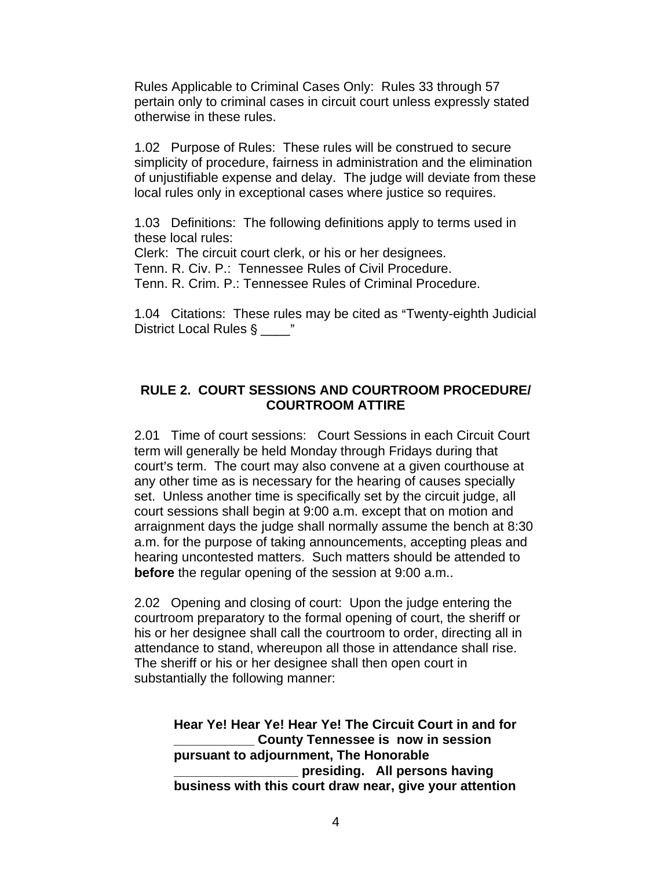Rules Applicable to Criminal Cases Only: Rules 33 through 57 pertain only to criminal cases in circuit court unless expressly stated otherwise in these rules.

1.02 Purpose of Rules: These rules will be construed to secure simplicity of procedure, fairness in administration and the elimination of unjustifiable expense and delay. The judge will deviate from these local rules only in exceptional cases where justice so requires.

1.03 Definitions: The following definitions apply to terms used in these local rules:

Clerk: The circuit court clerk, or his or her designees.

Tenn. R. Civ. P.: Tennessee Rules of Civil Procedure.

Tenn. R. Crim. P.: Tennessee Rules of Criminal Procedure.

1.04 Citations: These rules may be cited as "Twenty-eighth Judicial District Local Rules §  $\cdot$  "

# **RULE 2. COURT SESSIONS AND COURTROOM PROCEDURE/ COURTROOM ATTIRE**

2.01 Time of court sessions: Court Sessions in each Circuit Court term will generally be held Monday through Fridays during that court's term. The court may also convene at a given courthouse at any other time as is necessary for the hearing of causes specially set. Unless another time is specifically set by the circuit judge, all court sessions shall begin at 9:00 a.m. except that on motion and arraignment days the judge shall normally assume the bench at 8:30 a.m. for the purpose of taking announcements, accepting pleas and hearing uncontested matters. Such matters should be attended to **before** the regular opening of the session at 9:00 a.m..

2.02 Opening and closing of court: Upon the judge entering the courtroom preparatory to the formal opening of court, the sheriff or his or her designee shall call the courtroom to order, directing all in attendance to stand, whereupon all those in attendance shall rise. The sheriff or his or her designee shall then open court in substantially the following manner:

**Hear Ye! Hear Ye! Hear Ye! The Circuit Court in and for \_\_\_\_\_\_\_\_\_\_\_ County Tennessee is now in session pursuant to adjournment, The Honorable \_\_\_\_\_\_\_\_\_\_\_\_\_\_\_\_\_ presiding. All persons having business with this court draw near, give your attention**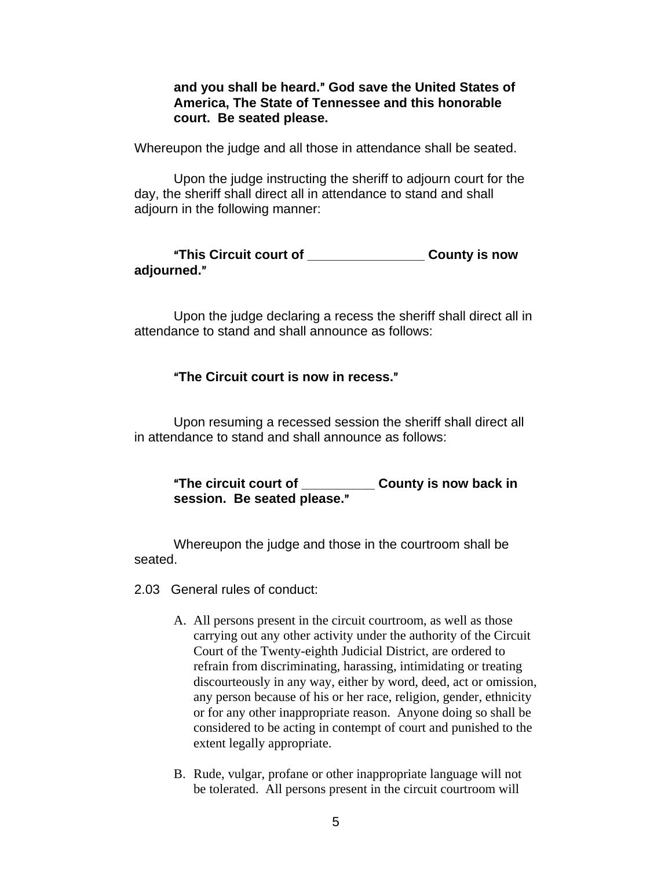**and you shall be heard.**@ **God save the United States of America, The State of Tennessee and this honorable court. Be seated please.**

Whereupon the judge and all those in attendance shall be seated.

Upon the judge instructing the sheriff to adjourn court for the day, the sheriff shall direct all in attendance to stand and shall adjourn in the following manner:

A**This Circuit court of \_\_\_\_\_\_\_\_\_\_\_\_\_\_\_\_ County is now adjourned.**@

Upon the judge declaring a recess the sheriff shall direct all in attendance to stand and shall announce as follows:

# A**The Circuit court is now in recess.**@

Upon resuming a recessed session the sheriff shall direct all in attendance to stand and shall announce as follows:

A**The circuit court of \_\_\_\_\_\_\_\_\_\_ County is now back in**  session. Be seated please."

Whereupon the judge and those in the courtroom shall be seated.

2.03 General rules of conduct:

- A. All persons present in the circuit courtroom, as well as those carrying out any other activity under the authority of the Circuit Court of the Twenty-eighth Judicial District, are ordered to refrain from discriminating, harassing, intimidating or treating discourteously in any way, either by word, deed, act or omission, any person because of his or her race, religion, gender, ethnicity or for any other inappropriate reason. Anyone doing so shall be considered to be acting in contempt of court and punished to the extent legally appropriate.
- B. Rude, vulgar, profane or other inappropriate language will not be tolerated. All persons present in the circuit courtroom will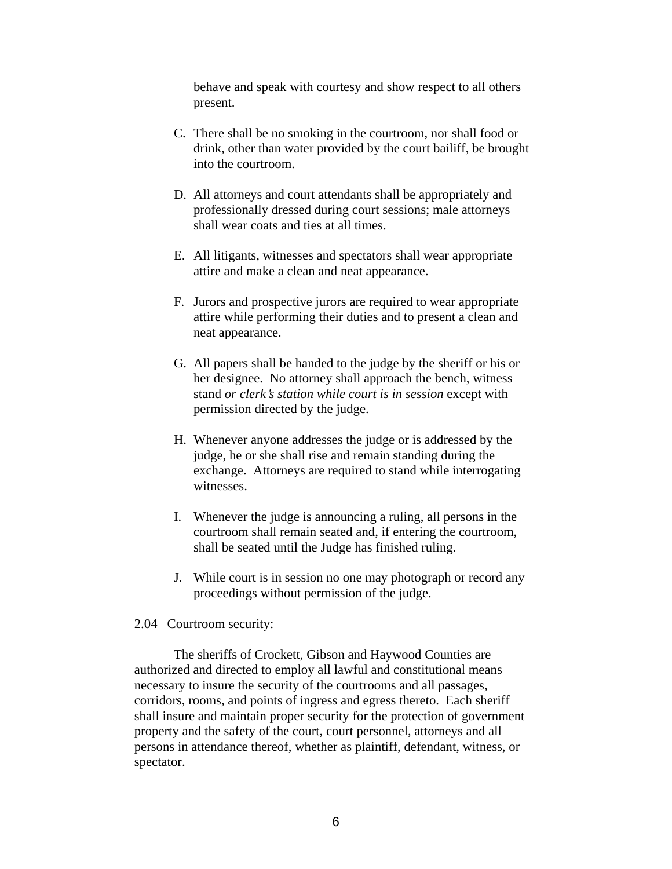behave and speak with courtesy and show respect to all others present.

- C. There shall be no smoking in the courtroom, nor shall food or drink, other than water provided by the court bailiff, be brought into the courtroom.
- D. All attorneys and court attendants shall be appropriately and professionally dressed during court sessions; male attorneys shall wear coats and ties at all times.
- E. All litigants, witnesses and spectators shall wear appropriate attire and make a clean and neat appearance.
- F. Jurors and prospective jurors are required to wear appropriate attire while performing their duties and to present a clean and neat appearance.
- G. All papers shall be handed to the judge by the sheriff or his or her designee. No attorney shall approach the bench, witness stand *or clerk's station while court is in session* except with permission directed by the judge.
- H. Whenever anyone addresses the judge or is addressed by the judge, he or she shall rise and remain standing during the exchange. Attorneys are required to stand while interrogating witnesses.
- I. Whenever the judge is announcing a ruling, all persons in the courtroom shall remain seated and, if entering the courtroom, shall be seated until the Judge has finished ruling.
- J. While court is in session no one may photograph or record any proceedings without permission of the judge.

### 2.04 Courtroom security:

The sheriffs of Crockett, Gibson and Haywood Counties are authorized and directed to employ all lawful and constitutional means necessary to insure the security of the courtrooms and all passages, corridors, rooms, and points of ingress and egress thereto. Each sheriff shall insure and maintain proper security for the protection of government property and the safety of the court, court personnel, attorneys and all persons in attendance thereof, whether as plaintiff, defendant, witness, or spectator.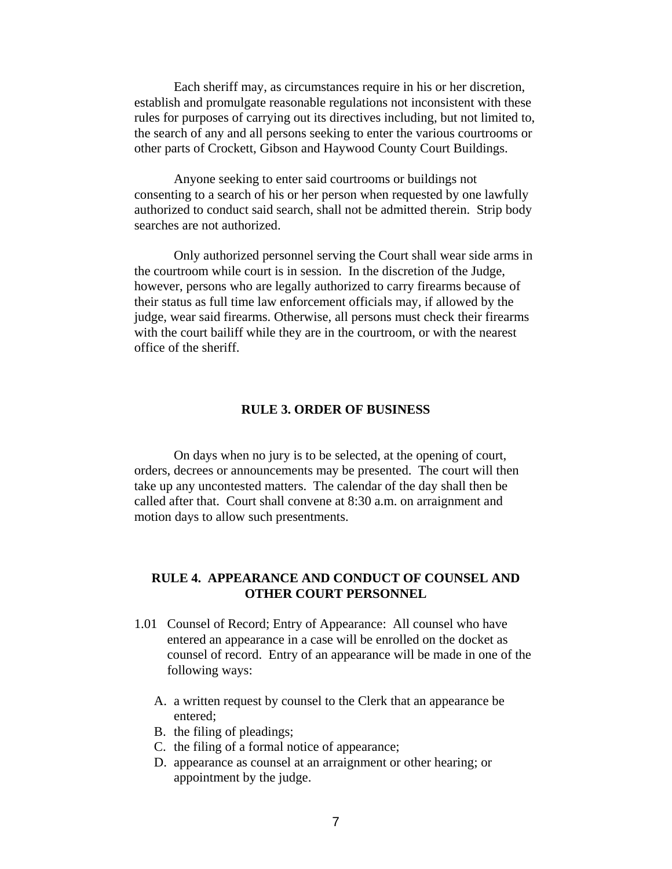Each sheriff may, as circumstances require in his or her discretion, establish and promulgate reasonable regulations not inconsistent with these rules for purposes of carrying out its directives including, but not limited to, the search of any and all persons seeking to enter the various courtrooms or other parts of Crockett, Gibson and Haywood County Court Buildings.

Anyone seeking to enter said courtrooms or buildings not consenting to a search of his or her person when requested by one lawfully authorized to conduct said search, shall not be admitted therein. Strip body searches are not authorized.

Only authorized personnel serving the Court shall wear side arms in the courtroom while court is in session. In the discretion of the Judge, however, persons who are legally authorized to carry firearms because of their status as full time law enforcement officials may, if allowed by the judge, wear said firearms. Otherwise, all persons must check their firearms with the court bailiff while they are in the courtroom, or with the nearest office of the sheriff.

### **RULE 3. ORDER OF BUSINESS**

On days when no jury is to be selected, at the opening of court, orders, decrees or announcements may be presented. The court will then take up any uncontested matters. The calendar of the day shall then be called after that. Court shall convene at 8:30 a.m. on arraignment and motion days to allow such presentments.

# **RULE 4. APPEARANCE AND CONDUCT OF COUNSEL AND OTHER COURT PERSONNEL**

- 1.01 Counsel of Record; Entry of Appearance: All counsel who have entered an appearance in a case will be enrolled on the docket as counsel of record. Entry of an appearance will be made in one of the following ways:
	- A. a written request by counsel to the Clerk that an appearance be entered;
	- B. the filing of pleadings;
	- C. the filing of a formal notice of appearance;
	- D. appearance as counsel at an arraignment or other hearing; or appointment by the judge.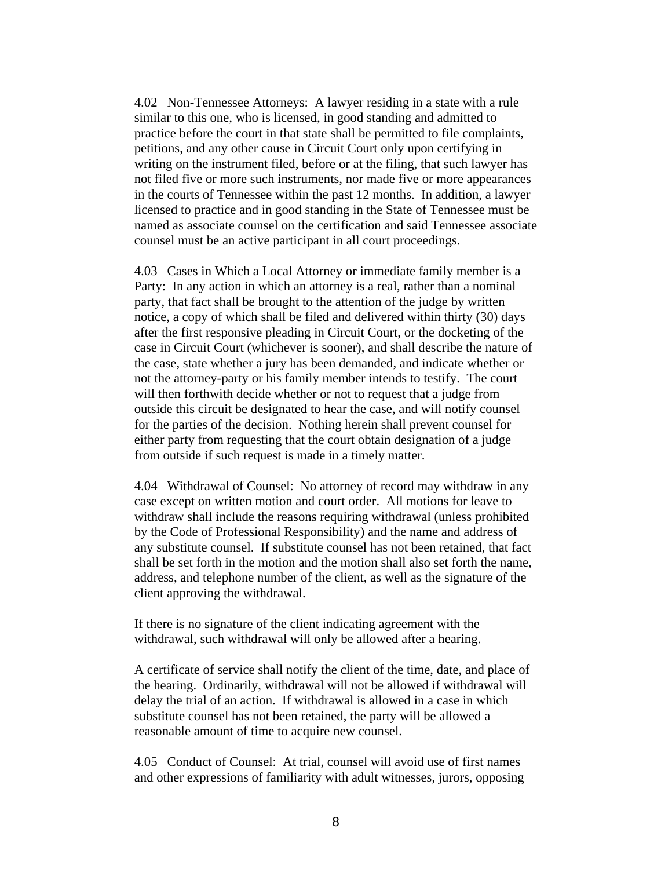4.02 Non-Tennessee Attorneys: A lawyer residing in a state with a rule similar to this one, who is licensed, in good standing and admitted to practice before the court in that state shall be permitted to file complaints, petitions, and any other cause in Circuit Court only upon certifying in writing on the instrument filed, before or at the filing, that such lawyer has not filed five or more such instruments, nor made five or more appearances in the courts of Tennessee within the past 12 months. In addition, a lawyer licensed to practice and in good standing in the State of Tennessee must be named as associate counsel on the certification and said Tennessee associate counsel must be an active participant in all court proceedings.

4.03 Cases in Which a Local Attorney or immediate family member is a Party: In any action in which an attorney is a real, rather than a nominal party, that fact shall be brought to the attention of the judge by written notice, a copy of which shall be filed and delivered within thirty (30) days after the first responsive pleading in Circuit Court, or the docketing of the case in Circuit Court (whichever is sooner), and shall describe the nature of the case, state whether a jury has been demanded, and indicate whether or not the attorney-party or his family member intends to testify. The court will then forthwith decide whether or not to request that a judge from outside this circuit be designated to hear the case, and will notify counsel for the parties of the decision. Nothing herein shall prevent counsel for either party from requesting that the court obtain designation of a judge from outside if such request is made in a timely matter.

4.04 Withdrawal of Counsel: No attorney of record may withdraw in any case except on written motion and court order. All motions for leave to withdraw shall include the reasons requiring withdrawal (unless prohibited by the Code of Professional Responsibility) and the name and address of any substitute counsel. If substitute counsel has not been retained, that fact shall be set forth in the motion and the motion shall also set forth the name, address, and telephone number of the client, as well as the signature of the client approving the withdrawal.

If there is no signature of the client indicating agreement with the withdrawal, such withdrawal will only be allowed after a hearing.

A certificate of service shall notify the client of the time, date, and place of the hearing. Ordinarily, withdrawal will not be allowed if withdrawal will delay the trial of an action. If withdrawal is allowed in a case in which substitute counsel has not been retained, the party will be allowed a reasonable amount of time to acquire new counsel.

4.05 Conduct of Counsel: At trial, counsel will avoid use of first names and other expressions of familiarity with adult witnesses, jurors, opposing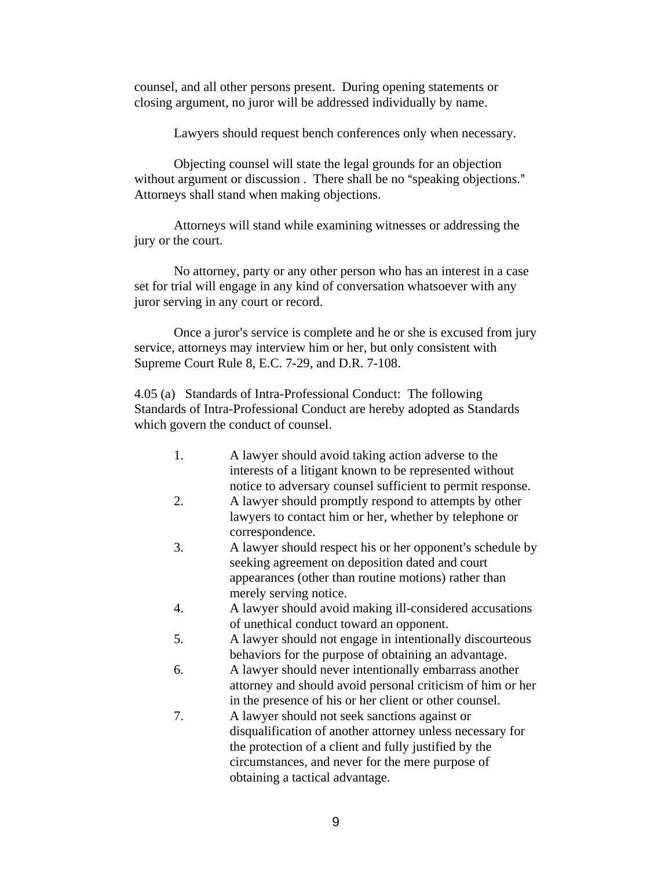counsel, and all other persons present. During opening statements or closing argument, no juror will be addressed individually by name.

Lawyers should request bench conferences only when necessary.

Objecting counsel will state the legal grounds for an objection without argument or discussion. There shall be no "speaking objections." Attorneys shall stand when making objections.

Attorneys will stand while examining witnesses or addressing the jury or the court.

No attorney, party or any other person who has an interest in a case set for trial will engage in any kind of conversation whatsoever with any juror serving in any court or record.

Once a juror's service is complete and he or she is excused from jury service, attorneys may interview him or her, but only consistent with Supreme Court Rule 8, E.C. 7-29, and D.R. 7-108.

4.05 (a) Standards of Intra-Professional Conduct: The following Standards of Intra-Professional Conduct are hereby adopted as Standards which govern the conduct of counsel.

| 1. | A lawyer should avoid taking action adverse to the<br>interests of a litigant known to be represented without |
|----|---------------------------------------------------------------------------------------------------------------|
|    | notice to adversary counsel sufficient to permit response.                                                    |
| 2. | A lawyer should promptly respond to attempts by other                                                         |
|    | lawyers to contact him or her, whether by telephone or                                                        |
|    | correspondence.                                                                                               |
| 3. | A lawyer should respect his or her opponent's schedule by                                                     |
|    | seeking agreement on deposition dated and court                                                               |
|    | appearances (other than routine motions) rather than                                                          |
|    | merely serving notice.                                                                                        |
| 4. | A lawyer should avoid making ill-considered accusations                                                       |
|    | of unethical conduct toward an opponent.                                                                      |
| 5. | A lawyer should not engage in intentionally discourteous                                                      |
|    | behaviors for the purpose of obtaining an advantage.                                                          |
| 6. | A lawyer should never intentionally embarrass another                                                         |
|    | attorney and should avoid personal criticism of him or her                                                    |
|    | in the presence of his or her client or other counsel.                                                        |
| 7. | A lawyer should not seek sanctions against or                                                                 |
|    | disqualification of another attorney unless necessary for                                                     |
|    | the protection of a client and fully justified by the                                                         |
|    | circumstances, and never for the mere purpose of                                                              |
|    | obtaining a tactical advantage.                                                                               |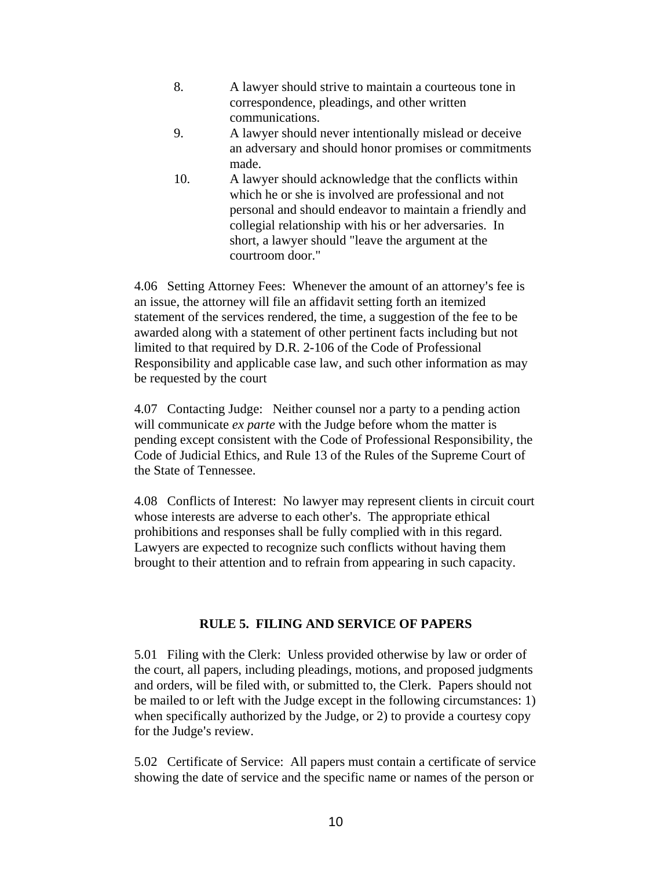- 8. A lawyer should strive to maintain a courteous tone in correspondence, pleadings, and other written communications.
- 9. A lawyer should never intentionally mislead or deceive an adversary and should honor promises or commitments made.
- 10. A lawyer should acknowledge that the conflicts within which he or she is involved are professional and not personal and should endeavor to maintain a friendly and collegial relationship with his or her adversaries. In short, a lawyer should "leave the argument at the courtroom door."

4.06 Setting Attorney Fees: Whenever the amount of an attorney's fee is an issue, the attorney will file an affidavit setting forth an itemized statement of the services rendered, the time, a suggestion of the fee to be awarded along with a statement of other pertinent facts including but not limited to that required by D.R. 2-106 of the Code of Professional Responsibility and applicable case law, and such other information as may be requested by the court

4.07 Contacting Judge: Neither counsel nor a party to a pending action will communicate *ex parte* with the Judge before whom the matter is pending except consistent with the Code of Professional Responsibility, the Code of Judicial Ethics, and Rule 13 of the Rules of the Supreme Court of the State of Tennessee.

4.08 Conflicts of Interest: No lawyer may represent clients in circuit court whose interests are adverse to each other's. The appropriate ethical prohibitions and responses shall be fully complied with in this regard. Lawyers are expected to recognize such conflicts without having them brought to their attention and to refrain from appearing in such capacity.

# **RULE 5. FILING AND SERVICE OF PAPERS**

5.01 Filing with the Clerk: Unless provided otherwise by law or order of the court, all papers, including pleadings, motions, and proposed judgments and orders, will be filed with, or submitted to, the Clerk. Papers should not be mailed to or left with the Judge except in the following circumstances: 1) when specifically authorized by the Judge, or 2) to provide a courtesy copy for the Judge's review.

5.02 Certificate of Service: All papers must contain a certificate of service showing the date of service and the specific name or names of the person or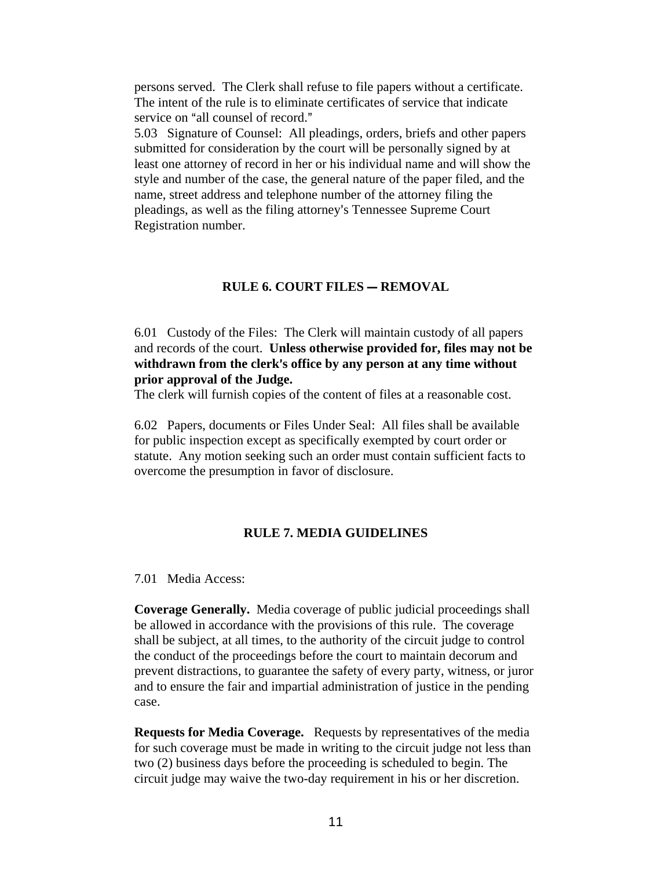persons served. The Clerk shall refuse to file papers without a certificate. The intent of the rule is to eliminate certificates of service that indicate service on "all counsel of record."

5.03 Signature of Counsel: All pleadings, orders, briefs and other papers submitted for consideration by the court will be personally signed by at least one attorney of record in her or his individual name and will show the style and number of the case, the general nature of the paper filed, and the name, street address and telephone number of the attorney filing the pleadings, as well as the filing attorney's Tennessee Supreme Court Registration number.

### **RULE 6. COURT FILES – REMOVAL**

6.01 Custody of the Files: The Clerk will maintain custody of all papers and records of the court. **Unless otherwise provided for, files may not be**  withdrawn from the clerk's office by any person at any time without **prior approval of the Judge.**

The clerk will furnish copies of the content of files at a reasonable cost.

6.02 Papers, documents or Files Under Seal: All files shall be available for public inspection except as specifically exempted by court order or statute. Any motion seeking such an order must contain sufficient facts to overcome the presumption in favor of disclosure.

### **RULE 7. MEDIA GUIDELINES**

7.01 Media Access:

**Coverage Generally.** Media coverage of public judicial proceedings shall be allowed in accordance with the provisions of this rule. The coverage shall be subject, at all times, to the authority of the circuit judge to control the conduct of the proceedings before the court to maintain decorum and prevent distractions, to guarantee the safety of every party, witness, or juror and to ensure the fair and impartial administration of justice in the pending case.

**Requests for Media Coverage.** Requests by representatives of the media for such coverage must be made in writing to the circuit judge not less than two (2) business days before the proceeding is scheduled to begin. The circuit judge may waive the two-day requirement in his or her discretion.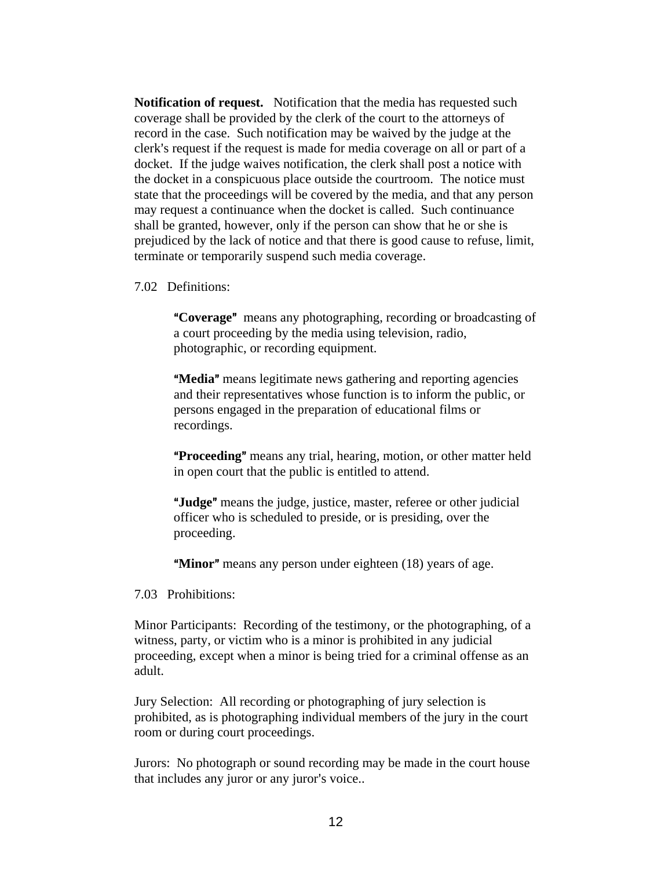**Notification of request.** Notification that the media has requested such coverage shall be provided by the clerk of the court to the attorneys of record in the case. Such notification may be waived by the judge at the clerk's request if the request is made for media coverage on all or part of a docket. If the judge waives notification, the clerk shall post a notice with the docket in a conspicuous place outside the courtroom. The notice must state that the proceedings will be covered by the media, and that any person may request a continuance when the docket is called. Such continuance shall be granted, however, only if the person can show that he or she is prejudiced by the lack of notice and that there is good cause to refuse, limit, terminate or temporarily suspend such media coverage.

7.02 Definitions:

**"Coverage"** means any photographing, recording or broadcasting of a court proceeding by the media using television, radio, photographic, or recording equipment.

**"Media"** means legitimate news gathering and reporting agencies and their representatives whose function is to inform the public, or persons engaged in the preparation of educational films or recordings.

**Proceeding**" means any trial, hearing, motion, or other matter held in open court that the public is entitled to attend.

"**Judge**" means the judge, justice, master, referee or other judicial officer who is scheduled to preside, or is presiding, over the proceeding.

**"Minor"** means any person under eighteen (18) years of age.

7.03 Prohibitions:

Minor Participants:Recording of the testimony, or the photographing, of a witness, party, or victim who is a minor is prohibited in any judicial proceeding, except when a minor is being tried for a criminal offense as an adult.

Jury Selection: All recording or photographing of jury selection is prohibited, as is photographing individual members of the jury in the court room or during court proceedings.

Jurors: No photograph or sound recording may be made in the court house that includes any juror or any juror's voice..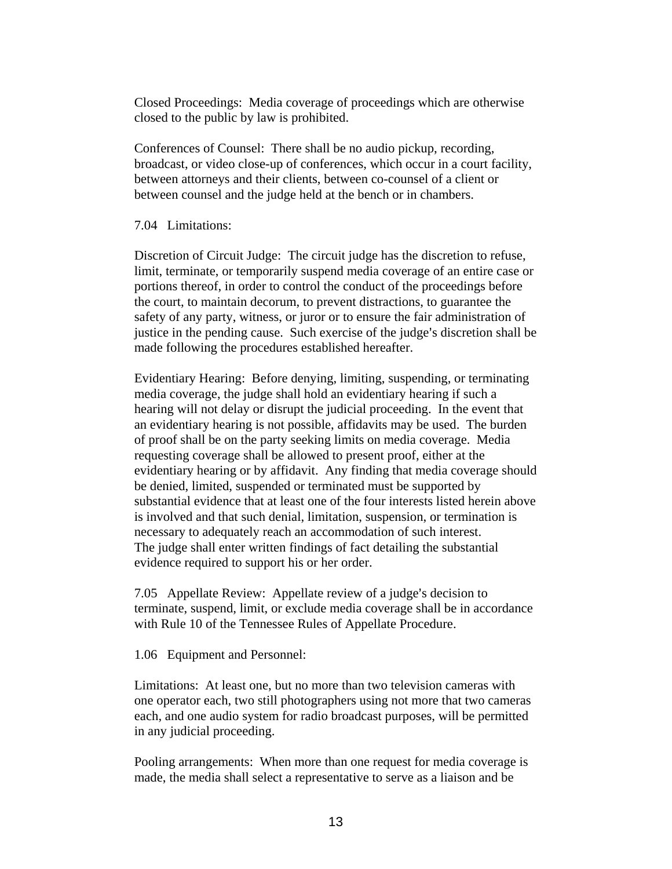Closed Proceedings: Media coverage of proceedings which are otherwise closed to the public by law is prohibited.

Conferences of Counsel:There shall be no audio pickup, recording, broadcast, or video close-up of conferences, which occur in a court facility, between attorneys and their clients, between co-counsel of a client or between counsel and the judge held at the bench or in chambers.

### 7.04 Limitations:

Discretion of Circuit Judge: The circuit judge has the discretion to refuse, limit, terminate, or temporarily suspend media coverage of an entire case or portions thereof, in order to control the conduct of the proceedings before the court, to maintain decorum, to prevent distractions, to guarantee the safety of any party, witness, or juror or to ensure the fair administration of justice in the pending cause. Such exercise of the judge's discretion shall be made following the procedures established hereafter.

Evidentiary Hearing: Before denying, limiting, suspending, or terminating media coverage, the judge shall hold an evidentiary hearing if such a hearing will not delay or disrupt the judicial proceeding. In the event that an evidentiary hearing is not possible, affidavits may be used. The burden of proof shall be on the party seeking limits on media coverage. Media requesting coverage shall be allowed to present proof, either at the evidentiary hearing or by affidavit. Any finding that media coverage should be denied, limited, suspended or terminated must be supported by substantial evidence that at least one of the four interests listed herein above is involved and that such denial, limitation, suspension, or termination is necessary to adequately reach an accommodation of such interest. The judge shall enter written findings of fact detailing the substantial evidence required to support his or her order.

7.05 Appellate Review: Appellate review of a judge's decision to terminate, suspend, limit, or exclude media coverage shall be in accordance with Rule 10 of the Tennessee Rules of Appellate Procedure.

1.06 Equipment and Personnel:

Limitations:At least one, but no more than two television cameras with one operator each, two still photographers using not more that two cameras each, and one audio system for radio broadcast purposes, will be permitted in any judicial proceeding.

Pooling arrangements:When more than one request for media coverage is made, the media shall select a representative to serve as a liaison and be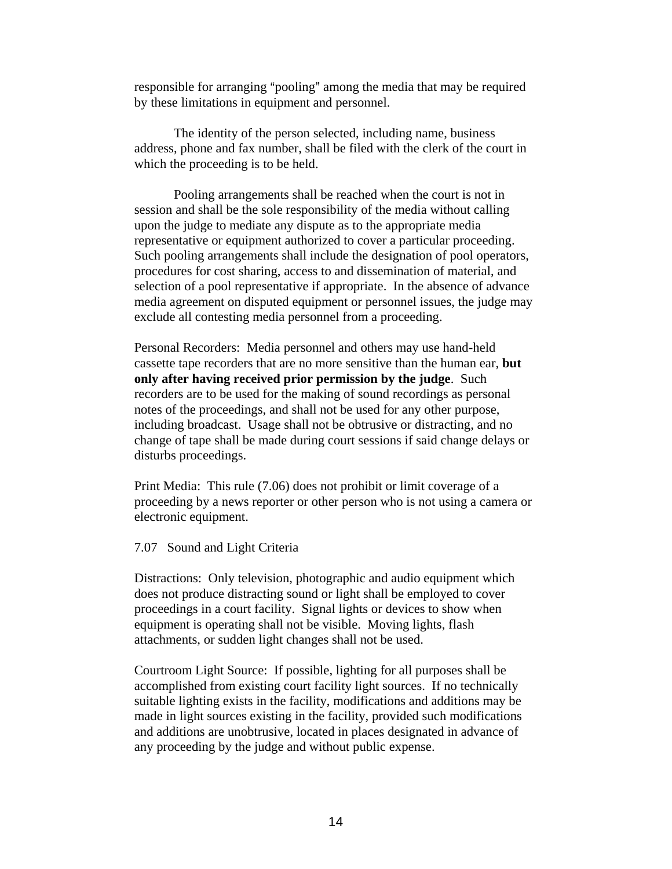responsible for arranging "pooling" among the media that may be required by these limitations in equipment and personnel.

The identity of the person selected, including name, business address, phone and fax number, shall be filed with the clerk of the court in which the proceeding is to be held.

Pooling arrangements shall be reached when the court is not in session and shall be the sole responsibility of the media without calling upon the judge to mediate any dispute as to the appropriate media representative or equipment authorized to cover a particular proceeding. Such pooling arrangements shall include the designation of pool operators, procedures for cost sharing, access to and dissemination of material, and selection of a pool representative if appropriate. In the absence of advance media agreement on disputed equipment or personnel issues, the judge may exclude all contesting media personnel from a proceeding.

Personal Recorders: Media personnel and others may use hand-held cassette tape recorders that are no more sensitive than the human ear, **but only after having received prior permission by the judge**. Such recorders are to be used for the making of sound recordings as personal notes of the proceedings, and shall not be used for any other purpose, including broadcast. Usage shall not be obtrusive or distracting, and no change of tape shall be made during court sessions if said change delays or disturbs proceedings.

Print Media:This rule (7.06) does not prohibit or limit coverage of a proceeding by a news reporter or other person who is not using a camera or electronic equipment.

#### 7.07 Sound and Light Criteria

Distractions:Only television, photographic and audio equipment which does not produce distracting sound or light shall be employed to cover proceedings in a court facility. Signal lights or devices to show when equipment is operating shall not be visible. Moving lights, flash attachments, or sudden light changes shall not be used.

Courtroom Light Source: If possible, lighting for all purposes shall be accomplished from existing court facility light sources. If no technically suitable lighting exists in the facility, modifications and additions may be made in light sources existing in the facility, provided such modifications and additions are unobtrusive, located in places designated in advance of any proceeding by the judge and without public expense.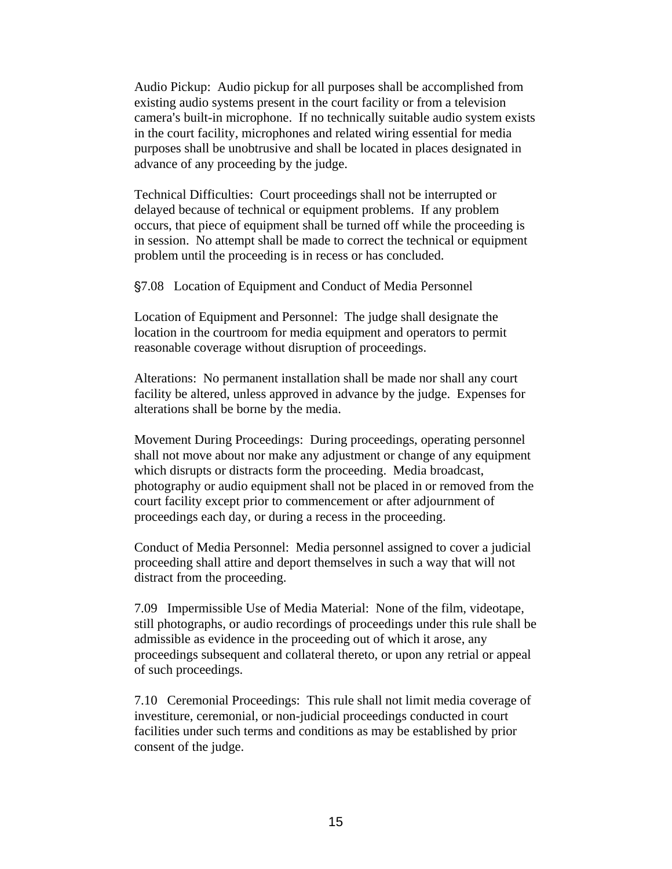Audio Pickup: Audio pickup for all purposes shall be accomplished from existing audio systems present in the court facility or from a television camera's built-in microphone. If no technically suitable audio system exists in the court facility, microphones and related wiring essential for media purposes shall be unobtrusive and shall be located in places designated in advance of any proceeding by the judge.

Technical Difficulties: Court proceedings shall not be interrupted or delayed because of technical or equipment problems. If any problem occurs, that piece of equipment shall be turned off while the proceeding is in session. No attempt shall be made to correct the technical or equipment problem until the proceeding is in recess or has concluded.

'7.08 Location of Equipment and Conduct of Media Personnel

Location of Equipment and Personnel: The judge shall designate the location in the courtroom for media equipment and operators to permit reasonable coverage without disruption of proceedings.

Alterations: No permanent installation shall be made nor shall any court facility be altered, unless approved in advance by the judge. Expenses for alterations shall be borne by the media.

Movement During Proceedings: During proceedings, operating personnel shall not move about nor make any adjustment or change of any equipment which disrupts or distracts form the proceeding. Media broadcast, photography or audio equipment shall not be placed in or removed from the court facility except prior to commencement or after adjournment of proceedings each day, or during a recess in the proceeding.

Conduct of Media Personnel: Media personnel assigned to cover a judicial proceeding shall attire and deport themselves in such a way that will not distract from the proceeding.

7.09 Impermissible Use of Media Material: None of the film, videotape, still photographs, or audio recordings of proceedings under this rule shall be admissible as evidence in the proceeding out of which it arose, any proceedings subsequent and collateral thereto, or upon any retrial or appeal of such proceedings.

7.10 Ceremonial Proceedings: This rule shall not limit media coverage of investiture, ceremonial, or non-judicial proceedings conducted in court facilities under such terms and conditions as may be established by prior consent of the judge.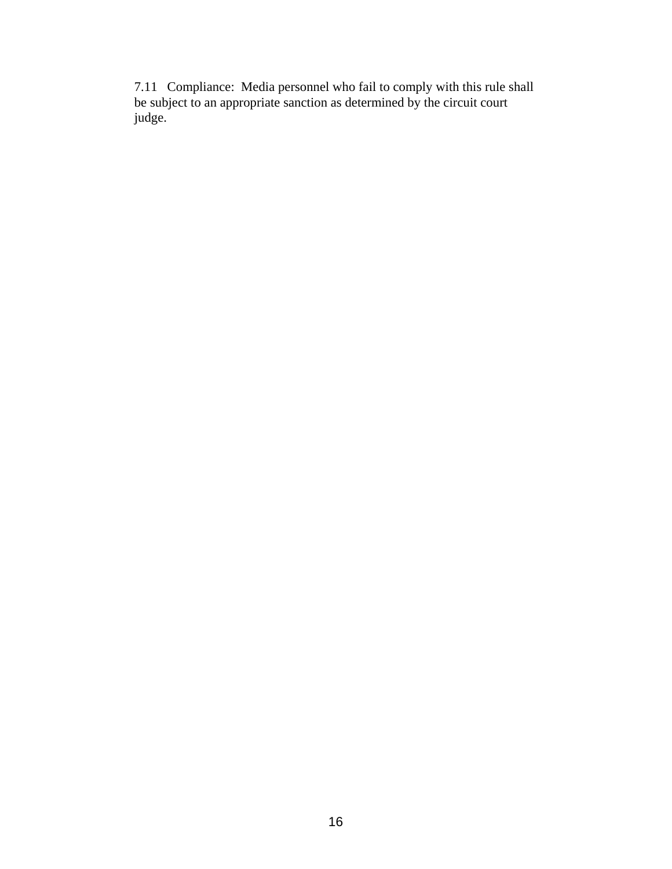7.11 Compliance: Media personnel who fail to comply with this rule shall be subject to an appropriate sanction as determined by the circuit court judge.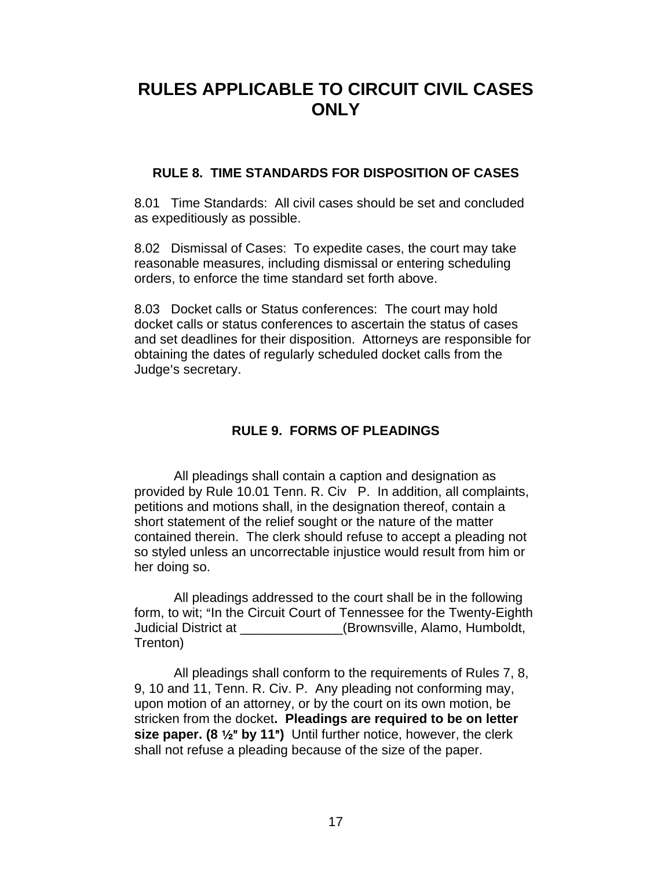# **RULES APPLICABLE TO CIRCUIT CIVIL CASES ONLY**

# **RULE 8. TIME STANDARDS FOR DISPOSITION OF CASES**

8.01 Time Standards: All civil cases should be set and concluded as expeditiously as possible.

8.02 Dismissal of Cases: To expedite cases, the court may take reasonable measures, including dismissal or entering scheduling orders, to enforce the time standard set forth above.

8.03 Docket calls or Status conferences: The court may hold docket calls or status conferences to ascertain the status of cases and set deadlines for their disposition. Attorneys are responsible for obtaining the dates of regularly scheduled docket calls from the Judge's secretary.

# **RULE 9. FORMS OF PLEADINGS**

All pleadings shall contain a caption and designation as provided by Rule 10.01 Tenn. R. Civ P. In addition, all complaints, petitions and motions shall, in the designation thereof, contain a short statement of the relief sought or the nature of the matter contained therein. The clerk should refuse to accept a pleading not so styled unless an uncorrectable injustice would result from him or her doing so.

All pleadings addressed to the court shall be in the following form, to wit; "In the Circuit Court of Tennessee for the Twenty-Eighth Judicial District at \_\_\_\_\_\_\_\_\_\_\_\_\_\_(Brownsville, Alamo, Humboldt, Trenton)

All pleadings shall conform to the requirements of Rules 7, 8, 9, 10 and 11, Tenn. R. Civ. P. Any pleading not conforming may, upon motion of an attorney, or by the court on its own motion, be stricken from the docket**. Pleadings are required to be on letter size paper. (8 1/2" by 11")** Until further notice, however, the clerk shall not refuse a pleading because of the size of the paper.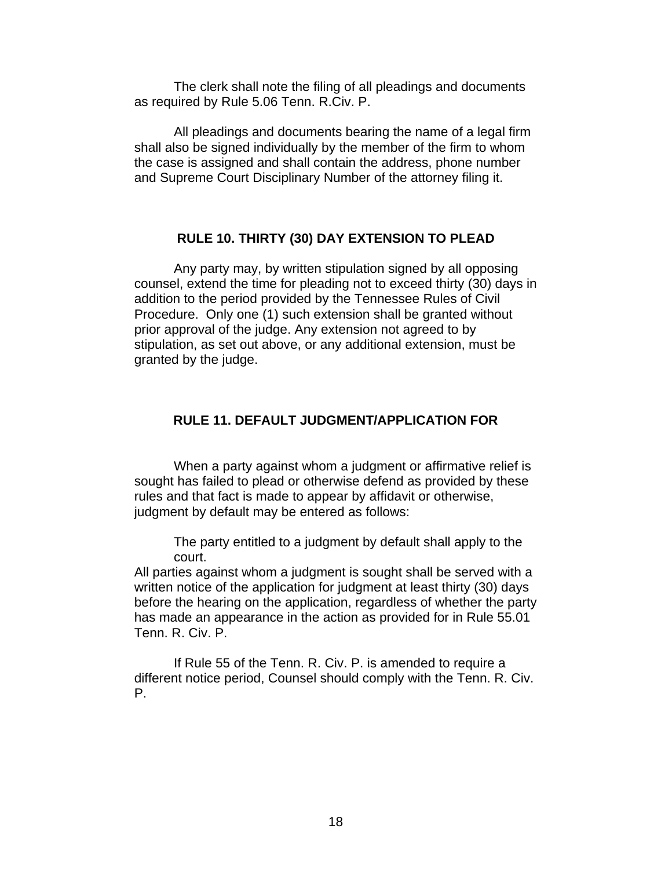The clerk shall note the filing of all pleadings and documents as required by Rule 5.06 Tenn. R.Civ. P.

All pleadings and documents bearing the name of a legal firm shall also be signed individually by the member of the firm to whom the case is assigned and shall contain the address, phone number and Supreme Court Disciplinary Number of the attorney filing it.

# **RULE 10. THIRTY (30) DAY EXTENSION TO PLEAD**

Any party may, by written stipulation signed by all opposing counsel, extend the time for pleading not to exceed thirty (30) days in addition to the period provided by the Tennessee Rules of Civil Procedure. Only one (1) such extension shall be granted without prior approval of the judge. Any extension not agreed to by stipulation, as set out above, or any additional extension, must be granted by the judge.

# **RULE 11. DEFAULT JUDGMENT/APPLICATION FOR**

When a party against whom a judgment or affirmative relief is sought has failed to plead or otherwise defend as provided by these rules and that fact is made to appear by affidavit or otherwise, judgment by default may be entered as follows:

The party entitled to a judgment by default shall apply to the court.

All parties against whom a judgment is sought shall be served with a written notice of the application for judgment at least thirty (30) days before the hearing on the application, regardless of whether the party has made an appearance in the action as provided for in Rule 55.01 Tenn. R. Civ. P.

If Rule 55 of the Tenn. R. Civ. P. is amended to require a different notice period, Counsel should comply with the Tenn. R. Civ. P.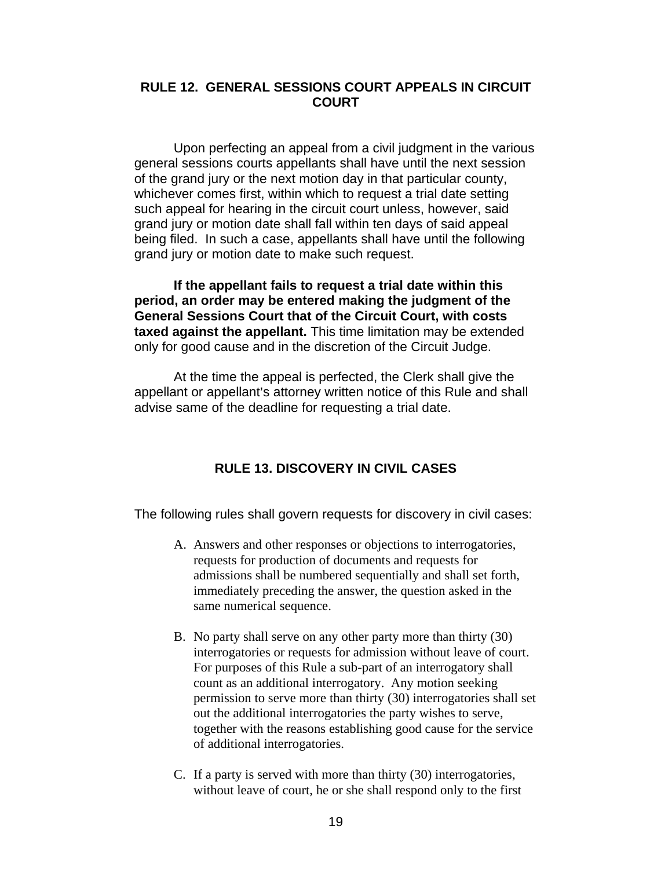# **RULE 12. GENERAL SESSIONS COURT APPEALS IN CIRCUIT COURT**

Upon perfecting an appeal from a civil judgment in the various general sessions courts appellants shall have until the next session of the grand jury or the next motion day in that particular county, whichever comes first, within which to request a trial date setting such appeal for hearing in the circuit court unless, however, said grand jury or motion date shall fall within ten days of said appeal being filed. In such a case, appellants shall have until the following grand jury or motion date to make such request.

**If the appellant fails to request a trial date within this period, an order may be entered making the judgment of the General Sessions Court that of the Circuit Court, with costs taxed against the appellant.** This time limitation may be extended only for good cause and in the discretion of the Circuit Judge.

At the time the appeal is perfected, the Clerk shall give the appellant or appellant's attorney written notice of this Rule and shall advise same of the deadline for requesting a trial date.

# **RULE 13. DISCOVERY IN CIVIL CASES**

The following rules shall govern requests for discovery in civil cases:

- A. Answers and other responses or objections to interrogatories, requests for production of documents and requests for admissions shall be numbered sequentially and shall set forth, immediately preceding the answer, the question asked in the same numerical sequence.
- B. No party shall serve on any other party more than thirty (30) interrogatories or requests for admission without leave of court. For purposes of this Rule a sub-part of an interrogatory shall count as an additional interrogatory. Any motion seeking permission to serve more than thirty (30) interrogatories shall set out the additional interrogatories the party wishes to serve, together with the reasons establishing good cause for the service of additional interrogatories.
- C. If a party is served with more than thirty (30) interrogatories, without leave of court, he or she shall respond only to the first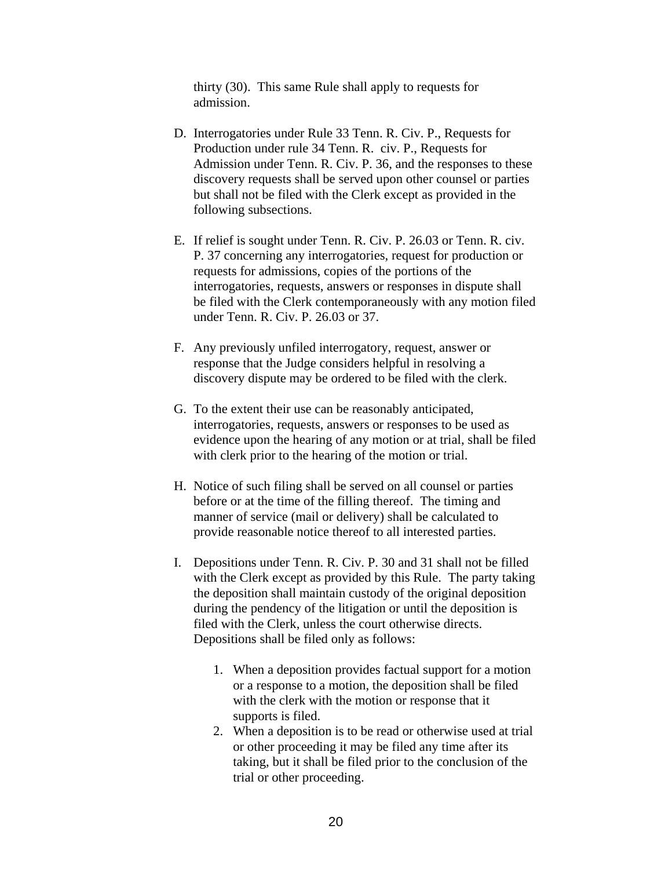thirty (30). This same Rule shall apply to requests for admission.

- D. Interrogatories under Rule 33 Tenn. R. Civ. P., Requests for Production under rule 34 Tenn. R. civ. P., Requests for Admission under Tenn. R. Civ. P. 36, and the responses to these discovery requests shall be served upon other counsel or parties but shall not be filed with the Clerk except as provided in the following subsections.
- E. If relief is sought under Tenn. R. Civ. P. 26.03 or Tenn. R. civ. P. 37 concerning any interrogatories, request for production or requests for admissions, copies of the portions of the interrogatories, requests, answers or responses in dispute shall be filed with the Clerk contemporaneously with any motion filed under Tenn. R. Civ. P. 26.03 or 37.
- F. Any previously unfiled interrogatory, request, answer or response that the Judge considers helpful in resolving a discovery dispute may be ordered to be filed with the clerk.
- G. To the extent their use can be reasonably anticipated, interrogatories, requests, answers or responses to be used as evidence upon the hearing of any motion or at trial, shall be filed with clerk prior to the hearing of the motion or trial.
- H. Notice of such filing shall be served on all counsel or parties before or at the time of the filling thereof. The timing and manner of service (mail or delivery) shall be calculated to provide reasonable notice thereof to all interested parties.
- I. Depositions under Tenn. R. Civ. P. 30 and 31 shall not be filled with the Clerk except as provided by this Rule. The party taking the deposition shall maintain custody of the original deposition during the pendency of the litigation or until the deposition is filed with the Clerk, unless the court otherwise directs. Depositions shall be filed only as follows:
	- 1. When a deposition provides factual support for a motion or a response to a motion, the deposition shall be filed with the clerk with the motion or response that it supports is filed.
	- 2. When a deposition is to be read or otherwise used at trial or other proceeding it may be filed any time after its taking, but it shall be filed prior to the conclusion of the trial or other proceeding.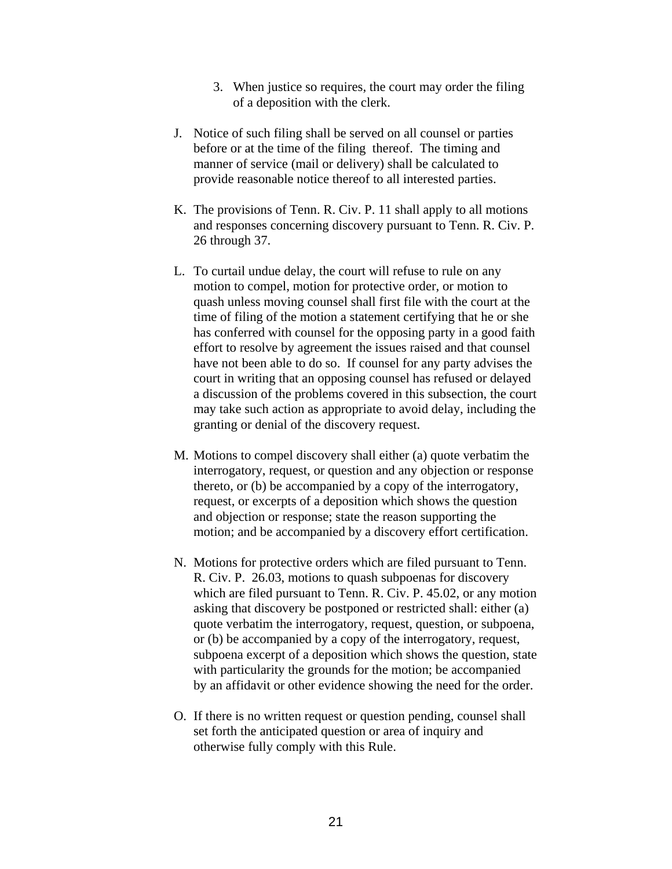- 3. When justice so requires, the court may order the filing of a deposition with the clerk.
- J. Notice of such filing shall be served on all counsel or parties before or at the time of the filing thereof. The timing and manner of service (mail or delivery) shall be calculated to provide reasonable notice thereof to all interested parties.
- K. The provisions of Tenn. R. Civ. P. 11 shall apply to all motions and responses concerning discovery pursuant to Tenn. R. Civ. P. 26 through 37.
- L. To curtail undue delay, the court will refuse to rule on any motion to compel, motion for protective order, or motion to quash unless moving counsel shall first file with the court at the time of filing of the motion a statement certifying that he or she has conferred with counsel for the opposing party in a good faith effort to resolve by agreement the issues raised and that counsel have not been able to do so. If counsel for any party advises the court in writing that an opposing counsel has refused or delayed a discussion of the problems covered in this subsection, the court may take such action as appropriate to avoid delay, including the granting or denial of the discovery request.
- M. Motions to compel discovery shall either (a) quote verbatim the interrogatory, request, or question and any objection or response thereto, or (b) be accompanied by a copy of the interrogatory, request, or excerpts of a deposition which shows the question and objection or response; state the reason supporting the motion; and be accompanied by a discovery effort certification.
- N. Motions for protective orders which are filed pursuant to Tenn. R. Civ. P. 26.03, motions to quash subpoenas for discovery which are filed pursuant to Tenn. R. Civ. P. 45.02, or any motion asking that discovery be postponed or restricted shall: either (a) quote verbatim the interrogatory, request, question, or subpoena, or (b) be accompanied by a copy of the interrogatory, request, subpoena excerpt of a deposition which shows the question, state with particularity the grounds for the motion; be accompanied by an affidavit or other evidence showing the need for the order.
- O. If there is no written request or question pending, counsel shall set forth the anticipated question or area of inquiry and otherwise fully comply with this Rule.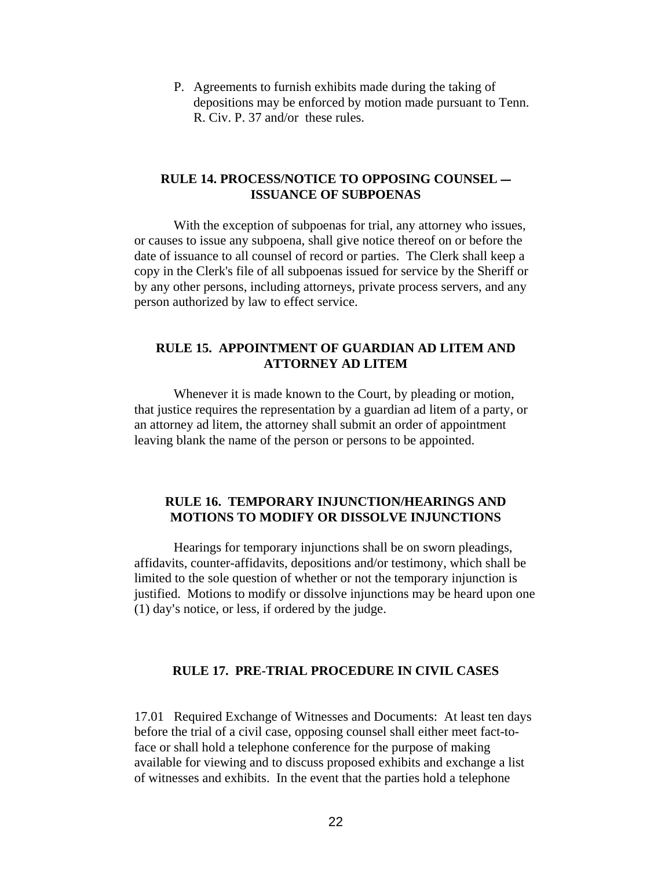P. Agreements to furnish exhibits made during the taking of depositions may be enforced by motion made pursuant to Tenn. R. Civ. P. 37 and/or these rules.

### **RULE 14. PROCESS/NOTICE TO OPPOSING COUNSEL -ISSUANCE OF SUBPOENAS**

With the exception of subpoenas for trial, any attorney who issues, or causes to issue any subpoena, shall give notice thereof on or before the date of issuance to all counsel of record or parties. The Clerk shall keep a copy in the Clerk's file of all subpoenas issued for service by the Sheriff or by any other persons, including attorneys, private process servers, and any person authorized by law to effect service.

# **RULE 15. APPOINTMENT OF GUARDIAN AD LITEM AND ATTORNEY AD LITEM**

Whenever it is made known to the Court, by pleading or motion, that justice requires the representation by a guardian ad litem of a party, or an attorney ad litem, the attorney shall submit an order of appointment leaving blank the name of the person or persons to be appointed.

# **RULE 16. TEMPORARY INJUNCTION/HEARINGS AND MOTIONS TO MODIFY OR DISSOLVE INJUNCTIONS**

Hearings for temporary injunctions shall be on sworn pleadings, affidavits, counter-affidavits, depositions and/or testimony, which shall be limited to the sole question of whether or not the temporary injunction is justified. Motions to modify or dissolve injunctions may be heard upon one  $(1)$  day's notice, or less, if ordered by the judge.

### **RULE 17. PRE-TRIAL PROCEDURE IN CIVIL CASES**

17.01 Required Exchange of Witnesses and Documents: At least ten days before the trial of a civil case, opposing counsel shall either meet fact-toface or shall hold a telephone conference for the purpose of making available for viewing and to discuss proposed exhibits and exchange a list of witnesses and exhibits. In the event that the parties hold a telephone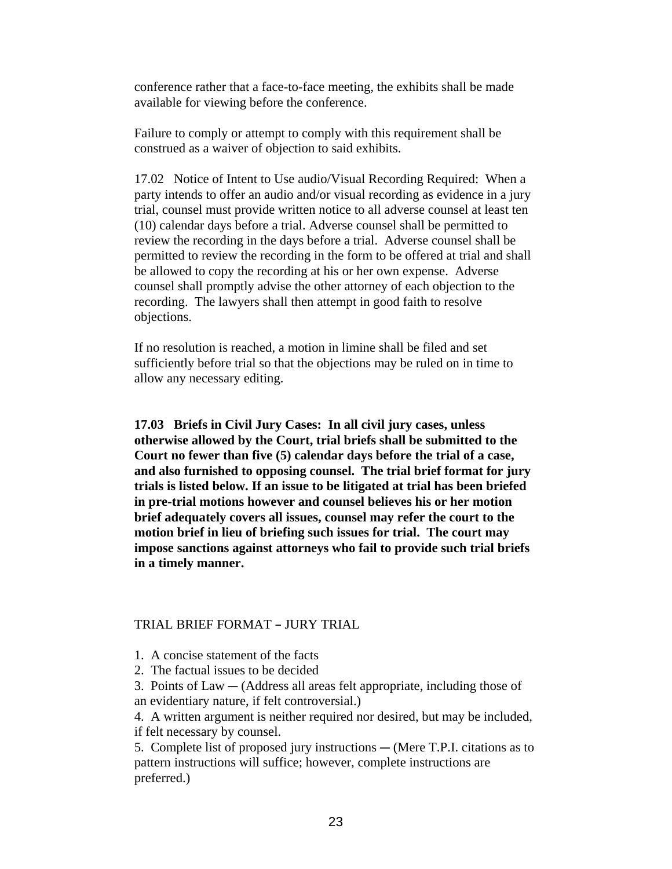conference rather that a face-to-face meeting, the exhibits shall be made available for viewing before the conference.

Failure to comply or attempt to comply with this requirement shall be construed as a waiver of objection to said exhibits.

17.02 Notice of Intent to Use audio/Visual Recording Required: When a party intends to offer an audio and/or visual recording as evidence in a jury trial, counsel must provide written notice to all adverse counsel at least ten (10) calendar days before a trial. Adverse counsel shall be permitted to review the recording in the days before a trial. Adverse counsel shall be permitted to review the recording in the form to be offered at trial and shall be allowed to copy the recording at his or her own expense. Adverse counsel shall promptly advise the other attorney of each objection to the recording. The lawyers shall then attempt in good faith to resolve objections.

If no resolution is reached, a motion in limine shall be filed and set sufficiently before trial so that the objections may be ruled on in time to allow any necessary editing.

**17.03 Briefs in Civil Jury Cases: In all civil jury cases, unless otherwise allowed by the Court, trial briefs shall be submitted to the Court no fewer than five (5) calendar days before the trial of a case, and also furnished to opposing counsel. The trial brief format for jury trials is listed below. If an issue to be litigated at trial has been briefed in pre-trial motions however and counsel believes his or her motion brief adequately covers all issues, counsel may refer the court to the motion brief in lieu of briefing such issues for trial. The court may impose sanctions against attorneys who fail to provide such trial briefs in a timely manner.**

### TRIAL BRIEF FORMAT - JURY TRIAL

- 1. A concise statement of the facts
- 2. The factual issues to be decided
- 3. Points of  $Law (Address all areas felt appropriate, including those of)$ an evidentiary nature, if felt controversial.)

4. A written argument is neither required nor desired, but may be included, if felt necessary by counsel.

5. Complete list of proposed jury instructions  $-$  (Mere T.P.I. citations as to pattern instructions will suffice; however, complete instructions are preferred.)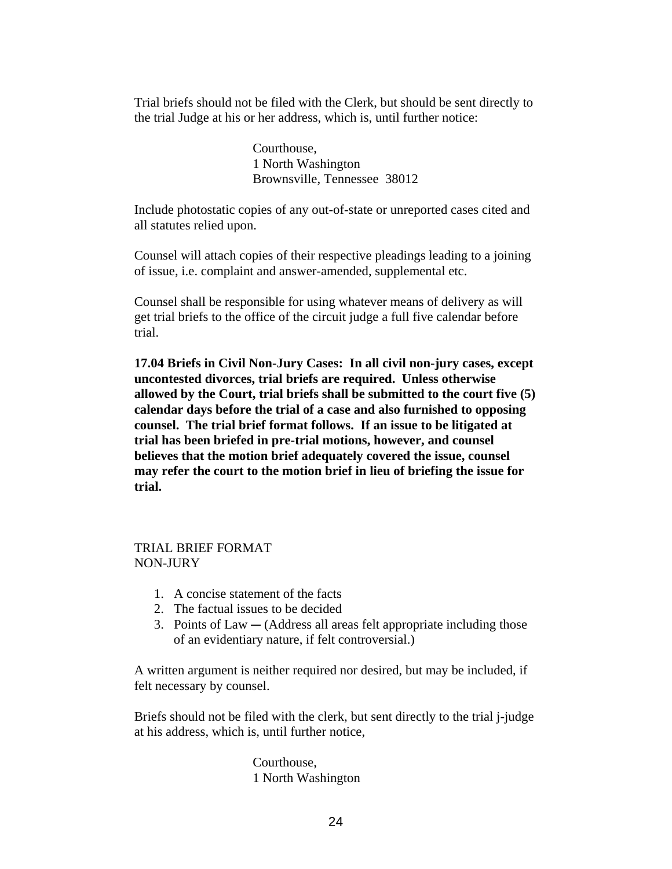Trial briefs should not be filed with the Clerk, but should be sent directly to the trial Judge at his or her address, which is, until further notice:

> Courthouse, 1 North Washington Brownsville, Tennessee 38012

Include photostatic copies of any out-of-state or unreported cases cited and all statutes relied upon.

Counsel will attach copies of their respective pleadings leading to a joining of issue, i.e. complaint and answer-amended, supplemental etc.

Counsel shall be responsible for using whatever means of delivery as will get trial briefs to the office of the circuit judge a full five calendar before trial.

**17.04 Briefs in Civil Non-Jury Cases: In all civil non-jury cases, except uncontested divorces, trial briefs are required. Unless otherwise allowed by the Court, trial briefs shall be submitted to the court five (5) calendar days before the trial of a case and also furnished to opposing counsel. The trial brief format follows. If an issue to be litigated at trial has been briefed in pre-trial motions, however, and counsel believes that the motion brief adequately covered the issue, counsel may refer the court to the motion brief in lieu of briefing the issue for trial.**

# TRIAL BRIEF FORMAT NON-JURY

- 1. A concise statement of the facts
- 2. The factual issues to be decided
- 3. Points of  $Law (Address all areas felt appropriate including those)$ of an evidentiary nature, if felt controversial.)

A written argument is neither required nor desired, but may be included, if felt necessary by counsel.

Briefs should not be filed with the clerk, but sent directly to the trial j-judge at his address, which is, until further notice,

> Courthouse, 1 North Washington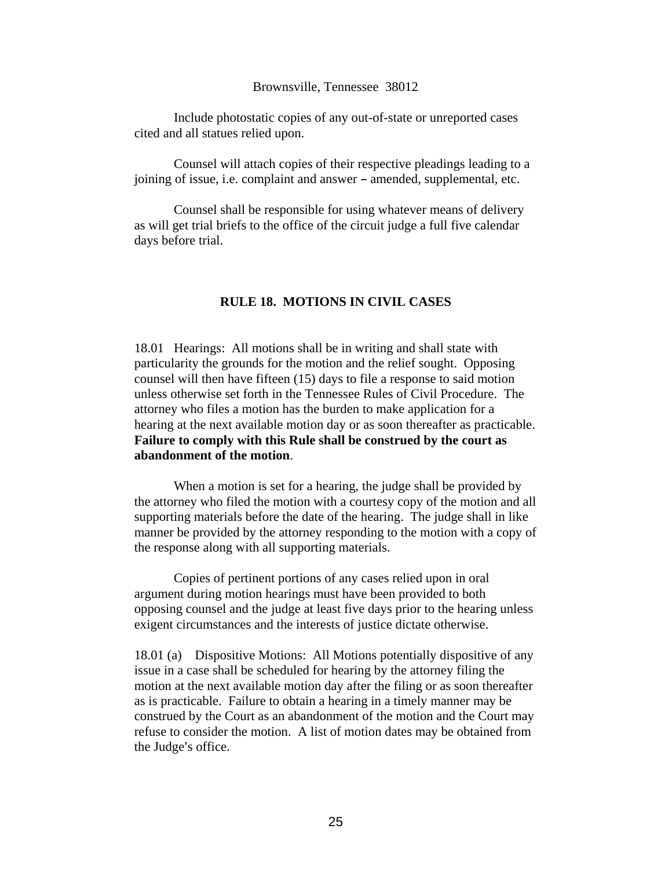### Brownsville, Tennessee 38012

Include photostatic copies of any out-of-state or unreported cases cited and all statues relied upon.

Counsel will attach copies of their respective pleadings leading to a joining of issue, i.e. complaint and answer - amended, supplemental, etc.

Counsel shall be responsible for using whatever means of delivery as will get trial briefs to the office of the circuit judge a full five calendar days before trial.

### **RULE 18. MOTIONS IN CIVIL CASES**

18.01 Hearings: All motions shall be in writing and shall state with particularity the grounds for the motion and the relief sought. Opposing counsel will then have fifteen (15) days to file a response to said motion unless otherwise set forth in the Tennessee Rules of Civil Procedure. The attorney who files a motion has the burden to make application for a hearing at the next available motion day or as soon thereafter as practicable. **Failure to comply with this Rule shall be construed by the court as abandonment of the motion**.

When a motion is set for a hearing, the judge shall be provided by the attorney who filed the motion with a courtesy copy of the motion and all supporting materials before the date of the hearing. The judge shall in like manner be provided by the attorney responding to the motion with a copy of the response along with all supporting materials.

Copies of pertinent portions of any cases relied upon in oral argument during motion hearings must have been provided to both opposing counsel and the judge at least five days prior to the hearing unless exigent circumstances and the interests of justice dictate otherwise.

18.01 (a) Dispositive Motions: All Motions potentially dispositive of any issue in a case shall be scheduled for hearing by the attorney filing the motion at the next available motion day after the filing or as soon thereafter as is practicable. Failure to obtain a hearing in a timely manner may be construed by the Court as an abandonment of the motion and the Court may refuse to consider the motion. A list of motion dates may be obtained from the Judge's office.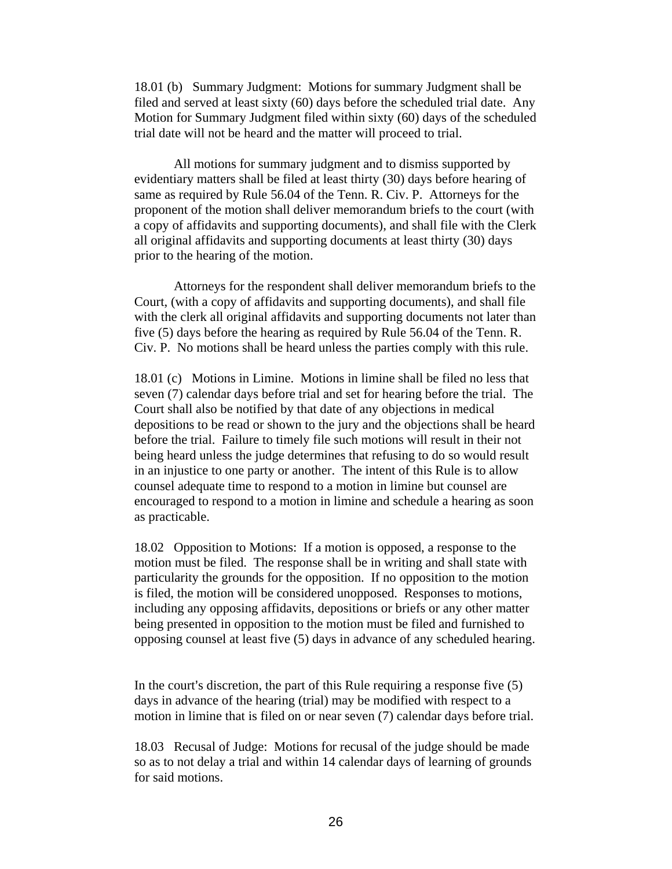18.01 (b) Summary Judgment: Motions for summary Judgment shall be filed and served at least sixty (60) days before the scheduled trial date. Any Motion for Summary Judgment filed within sixty (60) days of the scheduled trial date will not be heard and the matter will proceed to trial.

All motions for summary judgment and to dismiss supported by evidentiary matters shall be filed at least thirty (30) days before hearing of same as required by Rule 56.04 of the Tenn. R. Civ. P. Attorneys for the proponent of the motion shall deliver memorandum briefs to the court (with a copy of affidavits and supporting documents), and shall file with the Clerk all original affidavits and supporting documents at least thirty (30) days prior to the hearing of the motion.

Attorneys for the respondent shall deliver memorandum briefs to the Court, (with a copy of affidavits and supporting documents), and shall file with the clerk all original affidavits and supporting documents not later than five (5) days before the hearing as required by Rule 56.04 of the Tenn. R. Civ. P. No motions shall be heard unless the parties comply with this rule.

18.01 (c) Motions in Limine. Motions in limine shall be filed no less that seven (7) calendar days before trial and set for hearing before the trial. The Court shall also be notified by that date of any objections in medical depositions to be read or shown to the jury and the objections shall be heard before the trial. Failure to timely file such motions will result in their not being heard unless the judge determines that refusing to do so would result in an injustice to one party or another. The intent of this Rule is to allow counsel adequate time to respond to a motion in limine but counsel are encouraged to respond to a motion in limine and schedule a hearing as soon as practicable.

18.02 Opposition to Motions: If a motion is opposed, a response to the motion must be filed. The response shall be in writing and shall state with particularity the grounds for the opposition. If no opposition to the motion is filed, the motion will be considered unopposed. Responses to motions, including any opposing affidavits, depositions or briefs or any other matter being presented in opposition to the motion must be filed and furnished to opposing counsel at least five (5) days in advance of any scheduled hearing.

In the court's discretion, the part of this Rule requiring a response five  $(5)$ days in advance of the hearing (trial) may be modified with respect to a motion in limine that is filed on or near seven (7) calendar days before trial.

18.03 Recusal of Judge: Motions for recusal of the judge should be made so as to not delay a trial and within 14 calendar days of learning of grounds for said motions.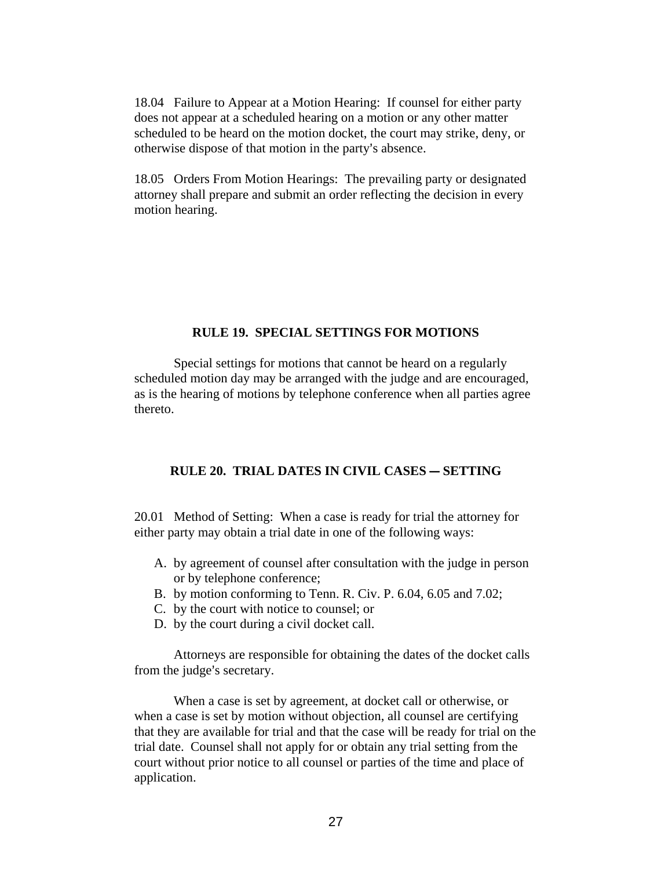18.04 Failure to Appear at a Motion Hearing: If counsel for either party does not appear at a scheduled hearing on a motion or any other matter scheduled to be heard on the motion docket, the court may strike, deny, or otherwise dispose of that motion in the party's absence.

18.05 Orders From Motion Hearings: The prevailing party or designated attorney shall prepare and submit an order reflecting the decision in every motion hearing.

### **RULE 19. SPECIAL SETTINGS FOR MOTIONS**

Special settings for motions that cannot be heard on a regularly scheduled motion day may be arranged with the judge and are encouraged, as is the hearing of motions by telephone conference when all parties agree thereto.

# **RULE 20. TRIAL DATES IN CIVIL CASES - SETTING**

20.01 Method of Setting: When a case is ready for trial the attorney for either party may obtain a trial date in one of the following ways:

- A. by agreement of counsel after consultation with the judge in person or by telephone conference;
- B. by motion conforming to Tenn. R. Civ. P. 6.04, 6.05 and 7.02;
- C. by the court with notice to counsel; or
- D. by the court during a civil docket call.

Attorneys are responsible for obtaining the dates of the docket calls from the judge's secretary.

When a case is set by agreement, at docket call or otherwise, or when a case is set by motion without objection, all counsel are certifying that they are available for trial and that the case will be ready for trial on the trial date. Counsel shall not apply for or obtain any trial setting from the court without prior notice to all counsel or parties of the time and place of application.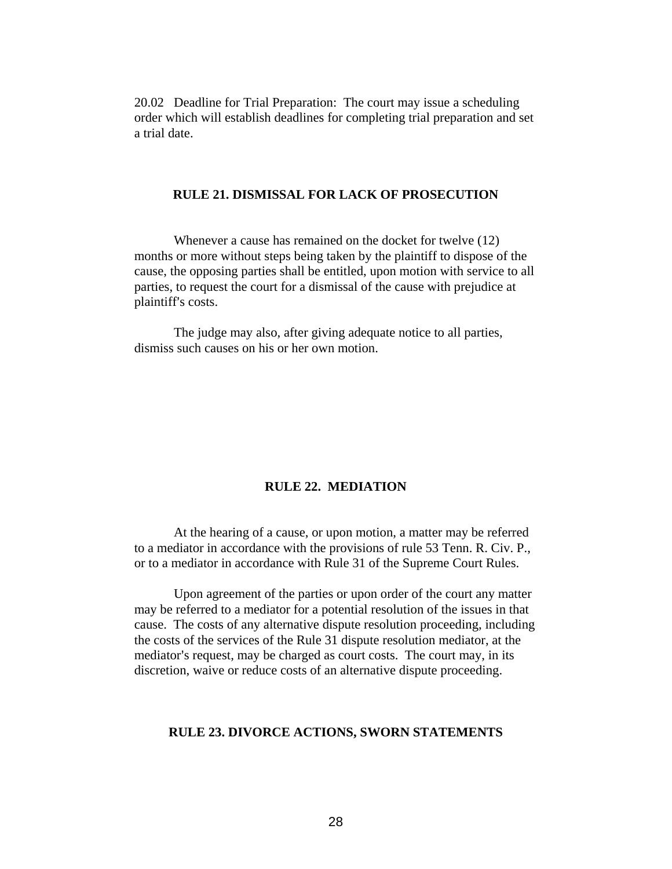20.02 Deadline for Trial Preparation: The court may issue a scheduling order which will establish deadlines for completing trial preparation and set a trial date.

### **RULE 21. DISMISSAL FOR LACK OF PROSECUTION**

Whenever a cause has remained on the docket for twelve (12) months or more without steps being taken by the plaintiff to dispose of the cause, the opposing parties shall be entitled, upon motion with service to all parties, to request the court for a dismissal of the cause with prejudice at plaintiff's costs.

The judge may also, after giving adequate notice to all parties, dismiss such causes on his or her own motion.

### **RULE 22. MEDIATION**

At the hearing of a cause, or upon motion, a matter may be referred to a mediator in accordance with the provisions of rule 53 Tenn. R. Civ. P., or to a mediator in accordance with Rule 31 of the Supreme Court Rules.

Upon agreement of the parties or upon order of the court any matter may be referred to a mediator for a potential resolution of the issues in that cause. The costs of any alternative dispute resolution proceeding, including the costs of the services of the Rule 31 dispute resolution mediator, at the mediator's request, may be charged as court costs. The court may, in its discretion, waive or reduce costs of an alternative dispute proceeding.

# **RULE 23. DIVORCE ACTIONS, SWORN STATEMENTS**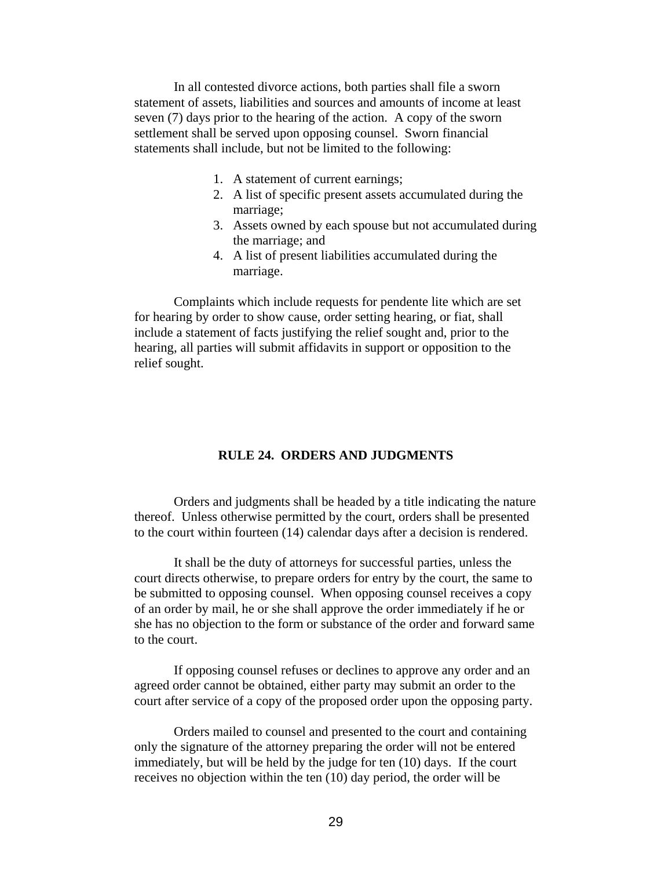In all contested divorce actions, both parties shall file a sworn statement of assets, liabilities and sources and amounts of income at least seven (7) days prior to the hearing of the action. A copy of the sworn settlement shall be served upon opposing counsel. Sworn financial statements shall include, but not be limited to the following:

- 1. A statement of current earnings;
- 2. A list of specific present assets accumulated during the marriage;
- 3. Assets owned by each spouse but not accumulated during the marriage; and
- 4. A list of present liabilities accumulated during the marriage.

Complaints which include requests for pendente lite which are set for hearing by order to show cause, order setting hearing, or fiat, shall include a statement of facts justifying the relief sought and, prior to the hearing, all parties will submit affidavits in support or opposition to the relief sought.

### **RULE 24. ORDERS AND JUDGMENTS**

Orders and judgments shall be headed by a title indicating the nature thereof. Unless otherwise permitted by the court, orders shall be presented to the court within fourteen (14) calendar days after a decision is rendered.

It shall be the duty of attorneys for successful parties, unless the court directs otherwise, to prepare orders for entry by the court, the same to be submitted to opposing counsel. When opposing counsel receives a copy of an order by mail, he or she shall approve the order immediately if he or she has no objection to the form or substance of the order and forward same to the court.

If opposing counsel refuses or declines to approve any order and an agreed order cannot be obtained, either party may submit an order to the court after service of a copy of the proposed order upon the opposing party.

Orders mailed to counsel and presented to the court and containing only the signature of the attorney preparing the order will not be entered immediately, but will be held by the judge for ten (10) days. If the court receives no objection within the ten (10) day period, the order will be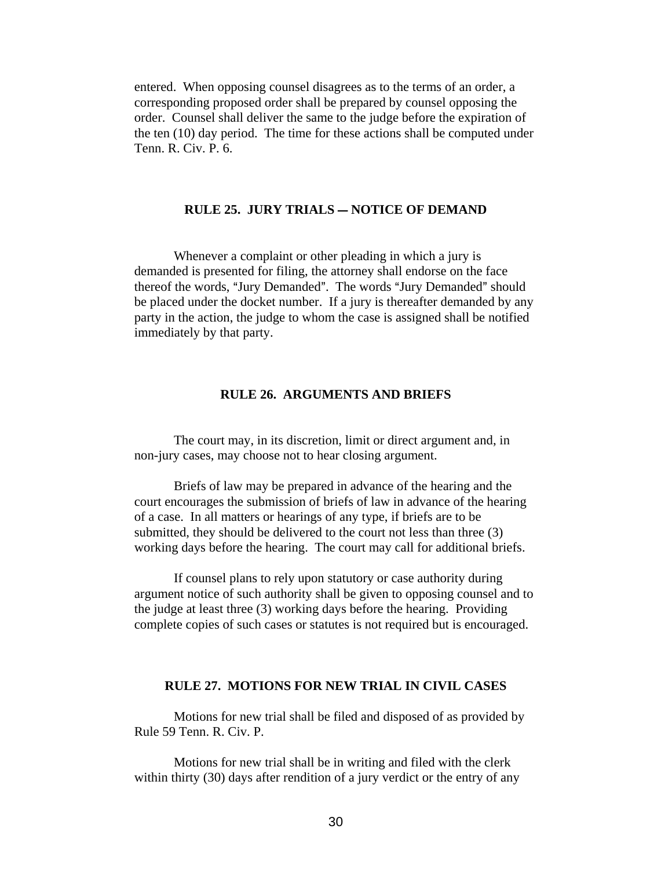entered. When opposing counsel disagrees as to the terms of an order, a corresponding proposed order shall be prepared by counsel opposing the order. Counsel shall deliver the same to the judge before the expiration of the ten (10) day period. The time for these actions shall be computed under Tenn. R. Civ. P. 6.

### **RULE 25. JURY TRIALS – NOTICE OF DEMAND**

Whenever a complaint or other pleading in which a jury is demanded is presented for filing, the attorney shall endorse on the face thereof the words, "Jury Demanded". The words "Jury Demanded" should be placed under the docket number. If a jury is thereafter demanded by any party in the action, the judge to whom the case is assigned shall be notified immediately by that party.

### **RULE 26. ARGUMENTS AND BRIEFS**

The court may, in its discretion, limit or direct argument and, in non-jury cases, may choose not to hear closing argument.

Briefs of law may be prepared in advance of the hearing and the court encourages the submission of briefs of law in advance of the hearing of a case. In all matters or hearings of any type, if briefs are to be submitted, they should be delivered to the court not less than three (3) working days before the hearing. The court may call for additional briefs.

If counsel plans to rely upon statutory or case authority during argument notice of such authority shall be given to opposing counsel and to the judge at least three (3) working days before the hearing. Providing complete copies of such cases or statutes is not required but is encouraged.

#### **RULE 27. MOTIONS FOR NEW TRIAL IN CIVIL CASES**

Motions for new trial shall be filed and disposed of as provided by Rule 59 Tenn. R. Civ. P.

Motions for new trial shall be in writing and filed with the clerk within thirty (30) days after rendition of a jury verdict or the entry of any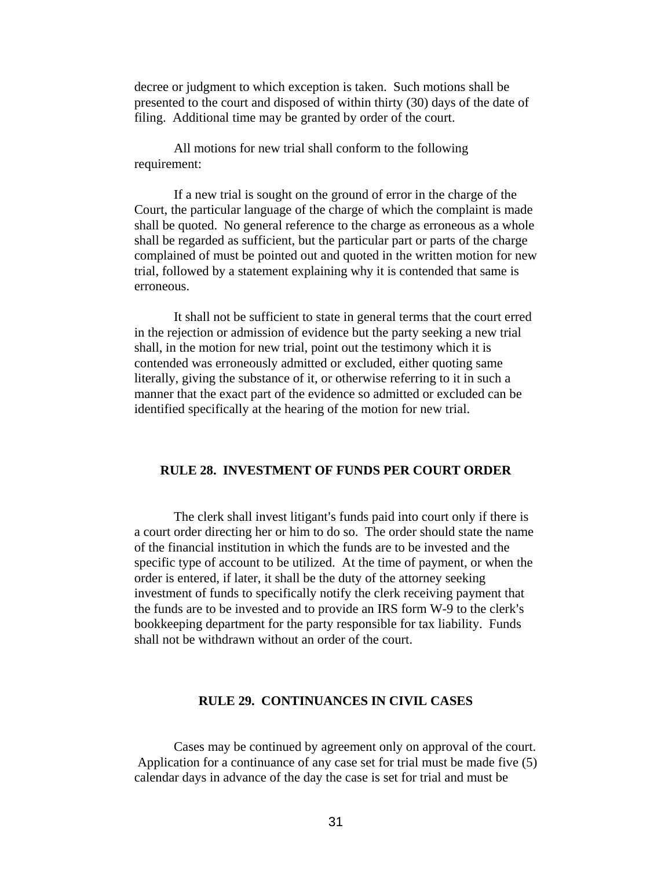decree or judgment to which exception is taken. Such motions shall be presented to the court and disposed of within thirty (30) days of the date of filing. Additional time may be granted by order of the court.

All motions for new trial shall conform to the following requirement:

If a new trial is sought on the ground of error in the charge of the Court, the particular language of the charge of which the complaint is made shall be quoted. No general reference to the charge as erroneous as a whole shall be regarded as sufficient, but the particular part or parts of the charge complained of must be pointed out and quoted in the written motion for new trial, followed by a statement explaining why it is contended that same is erroneous.

It shall not be sufficient to state in general terms that the court erred in the rejection or admission of evidence but the party seeking a new trial shall, in the motion for new trial, point out the testimony which it is contended was erroneously admitted or excluded, either quoting same literally, giving the substance of it, or otherwise referring to it in such a manner that the exact part of the evidence so admitted or excluded can be identified specifically at the hearing of the motion for new trial.

### **RULE 28. INVESTMENT OF FUNDS PER COURT ORDER**

The clerk shall invest litigant's funds paid into court only if there is a court order directing her or him to do so. The order should state the name of the financial institution in which the funds are to be invested and the specific type of account to be utilized. At the time of payment, or when the order is entered, if later, it shall be the duty of the attorney seeking investment of funds to specifically notify the clerk receiving payment that the funds are to be invested and to provide an IRS form W-9 to the clerk's bookkeeping department for the party responsible for tax liability. Funds shall not be withdrawn without an order of the court.

### **RULE 29. CONTINUANCES IN CIVIL CASES**

Cases may be continued by agreement only on approval of the court. Application for a continuance of any case set for trial must be made five (5) calendar days in advance of the day the case is set for trial and must be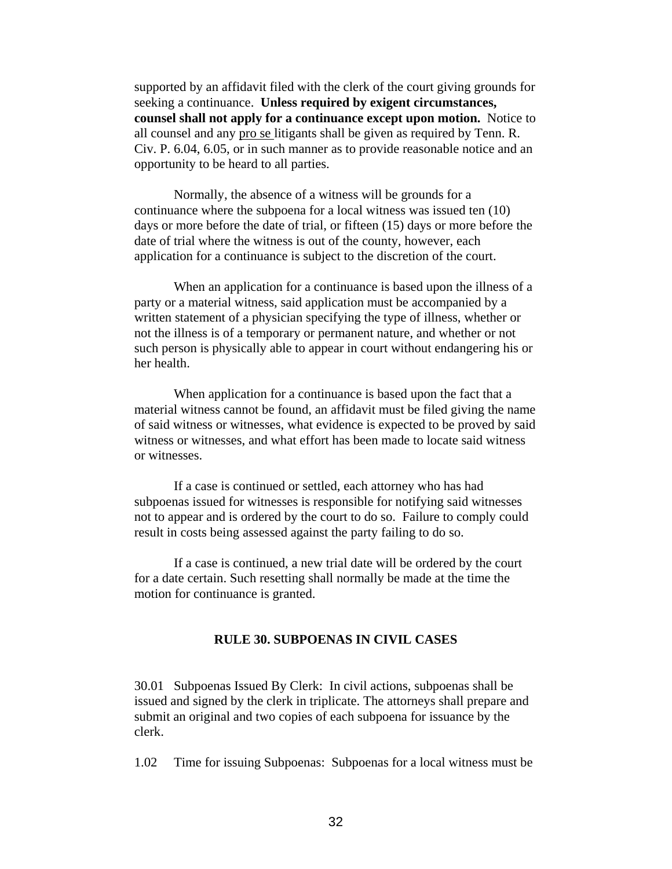supported by an affidavit filed with the clerk of the court giving grounds for seeking a continuance. **Unless required by exigent circumstances, counsel shall not apply for a continuance except upon motion.** Notice to all counsel and any pro se litigants shall be given as required by Tenn. R. Civ. P. 6.04, 6.05, or in such manner as to provide reasonable notice and an opportunity to be heard to all parties.

Normally, the absence of a witness will be grounds for a continuance where the subpoena for a local witness was issued ten (10) days or more before the date of trial, or fifteen (15) days or more before the date of trial where the witness is out of the county, however, each application for a continuance is subject to the discretion of the court.

When an application for a continuance is based upon the illness of a party or a material witness, said application must be accompanied by a written statement of a physician specifying the type of illness, whether or not the illness is of a temporary or permanent nature, and whether or not such person is physically able to appear in court without endangering his or her health.

When application for a continuance is based upon the fact that a material witness cannot be found, an affidavit must be filed giving the name of said witness or witnesses, what evidence is expected to be proved by said witness or witnesses, and what effort has been made to locate said witness or witnesses.

If a case is continued or settled, each attorney who has had subpoenas issued for witnesses is responsible for notifying said witnesses not to appear and is ordered by the court to do so. Failure to comply could result in costs being assessed against the party failing to do so.

If a case is continued, a new trial date will be ordered by the court for a date certain. Such resetting shall normally be made at the time the motion for continuance is granted.

### **RULE 30. SUBPOENAS IN CIVIL CASES**

30.01 Subpoenas Issued By Clerk: In civil actions, subpoenas shall be issued and signed by the clerk in triplicate. The attorneys shall prepare and submit an original and two copies of each subpoena for issuance by the clerk.

1.02 Time for issuing Subpoenas: Subpoenas for a local witness must be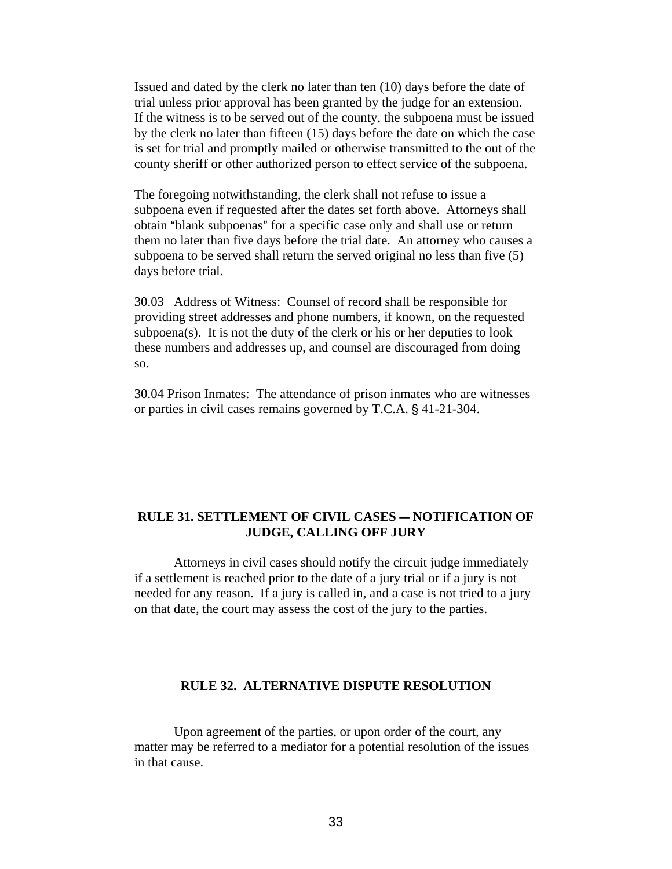Issued and dated by the clerk no later than ten (10) days before the date of trial unless prior approval has been granted by the judge for an extension. If the witness is to be served out of the county, the subpoena must be issued by the clerk no later than fifteen (15) days before the date on which the case is set for trial and promptly mailed or otherwise transmitted to the out of the county sheriff or other authorized person to effect service of the subpoena.

The foregoing notwithstanding, the clerk shall not refuse to issue a subpoena even if requested after the dates set forth above. Attorneys shall obtain "blank subpoenas" for a specific case only and shall use or return them no later than five days before the trial date. An attorney who causes a subpoena to be served shall return the served original no less than five (5) days before trial.

30.03 Address of Witness: Counsel of record shall be responsible for providing street addresses and phone numbers, if known, on the requested subpoena(s). It is not the duty of the clerk or his or her deputies to look these numbers and addresses up, and counsel are discouraged from doing so.

30.04 Prison Inmates: The attendance of prison inmates who are witnesses or parties in civil cases remains governed by T.C.A. § 41-21-304.

# **RULE 31. SETTLEMENT OF CIVIL CASES – NOTIFICATION OF JUDGE, CALLING OFF JURY**

Attorneys in civil cases should notify the circuit judge immediately if a settlement is reached prior to the date of a jury trial or if a jury is not needed for any reason. If a jury is called in, and a case is not tried to a jury on that date, the court may assess the cost of the jury to the parties.

# **RULE 32. ALTERNATIVE DISPUTE RESOLUTION**

Upon agreement of the parties, or upon order of the court, any matter may be referred to a mediator for a potential resolution of the issues in that cause.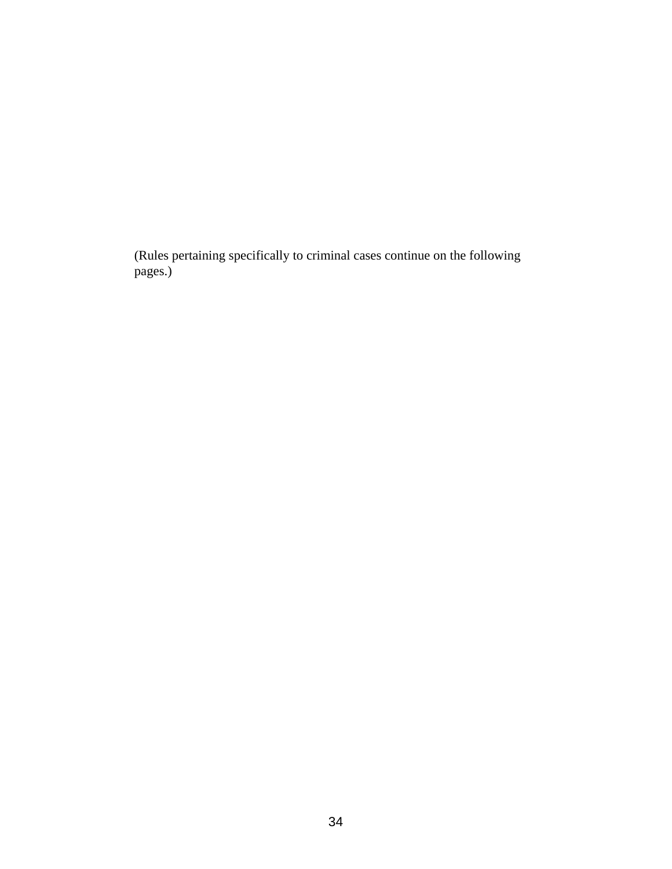(Rules pertaining specifically to criminal cases continue on the following pages.)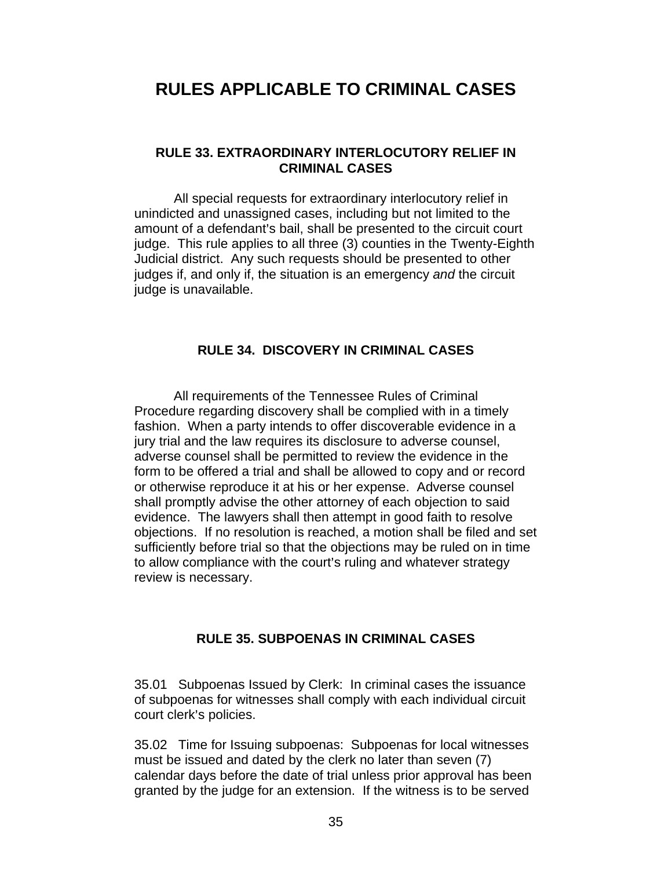# **RULES APPLICABLE TO CRIMINAL CASES**

# **RULE 33. EXTRAORDINARY INTERLOCUTORY RELIEF IN CRIMINAL CASES**

All special requests for extraordinary interlocutory relief in unindicted and unassigned cases, including but not limited to the amount of a defendant's bail, shall be presented to the circuit court judge. This rule applies to all three (3) counties in the Twenty-Eighth Judicial district. Any such requests should be presented to other judges if, and only if, the situation is an emergency *and* the circuit judge is unavailable.

# **RULE 34. DISCOVERY IN CRIMINAL CASES**

All requirements of the Tennessee Rules of Criminal Procedure regarding discovery shall be complied with in a timely fashion. When a party intends to offer discoverable evidence in a jury trial and the law requires its disclosure to adverse counsel, adverse counsel shall be permitted to review the evidence in the form to be offered a trial and shall be allowed to copy and or record or otherwise reproduce it at his or her expense. Adverse counsel shall promptly advise the other attorney of each objection to said evidence. The lawyers shall then attempt in good faith to resolve objections. If no resolution is reached, a motion shall be filed and set sufficiently before trial so that the objections may be ruled on in time to allow compliance with the court's ruling and whatever strategy review is necessary.

# **RULE 35. SUBPOENAS IN CRIMINAL CASES**

35.01 Subpoenas Issued by Clerk: In criminal cases the issuance of subpoenas for witnesses shall comply with each individual circuit court clerk's policies.

35.02 Time for Issuing subpoenas: Subpoenas for local witnesses must be issued and dated by the clerk no later than seven (7) calendar days before the date of trial unless prior approval has been granted by the judge for an extension. If the witness is to be served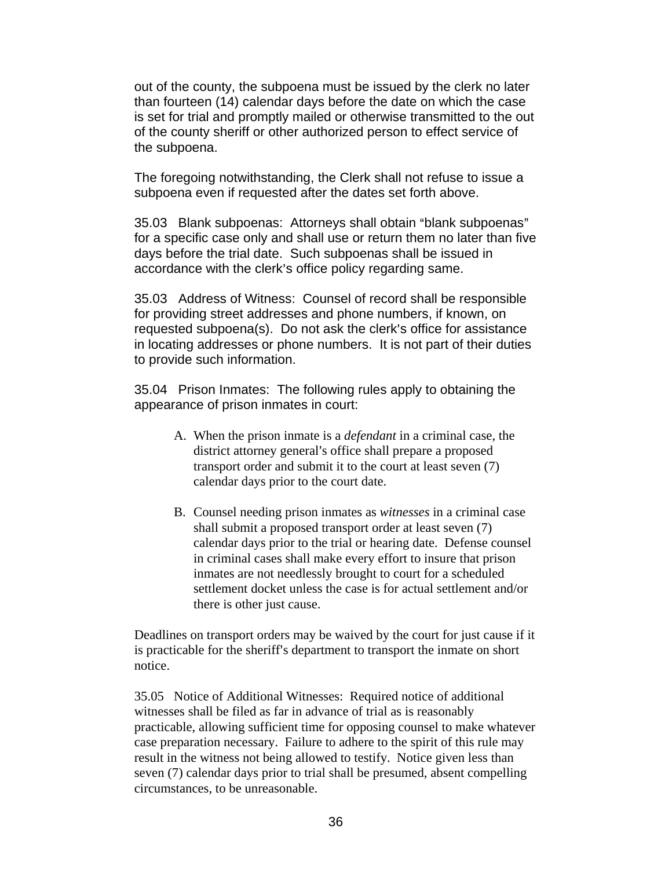out of the county, the subpoena must be issued by the clerk no later than fourteen (14) calendar days before the date on which the case is set for trial and promptly mailed or otherwise transmitted to the out of the county sheriff or other authorized person to effect service of the subpoena.

The foregoing notwithstanding, the Clerk shall not refuse to issue a subpoena even if requested after the dates set forth above.

35.03 Blank subpoenas: Attorneys shall obtain "blank subpoenas" for a specific case only and shall use or return them no later than five days before the trial date. Such subpoenas shall be issued in accordance with the clerk's office policy regarding same.

35.03 Address of Witness: Counsel of record shall be responsible for providing street addresses and phone numbers, if known, on requested subpoena(s). Do not ask the clerk's office for assistance in locating addresses or phone numbers. It is not part of their duties to provide such information.

35.04 Prison Inmates: The following rules apply to obtaining the appearance of prison inmates in court:

- A. When the prison inmate is a *defendant* in a criminal case, the district attorney general's office shall prepare a proposed transport order and submit it to the court at least seven (7) calendar days prior to the court date.
- B. Counsel needing prison inmates as *witnesses* in a criminal case shall submit a proposed transport order at least seven (7) calendar days prior to the trial or hearing date. Defense counsel in criminal cases shall make every effort to insure that prison inmates are not needlessly brought to court for a scheduled settlement docket unless the case is for actual settlement and/or there is other just cause.

Deadlines on transport orders may be waived by the court for just cause if it is practicable for the sheriff's department to transport the inmate on short notice.

35.05 Notice of Additional Witnesses: Required notice of additional witnesses shall be filed as far in advance of trial as is reasonably practicable, allowing sufficient time for opposing counsel to make whatever case preparation necessary. Failure to adhere to the spirit of this rule may result in the witness not being allowed to testify. Notice given less than seven (7) calendar days prior to trial shall be presumed, absent compelling circumstances, to be unreasonable.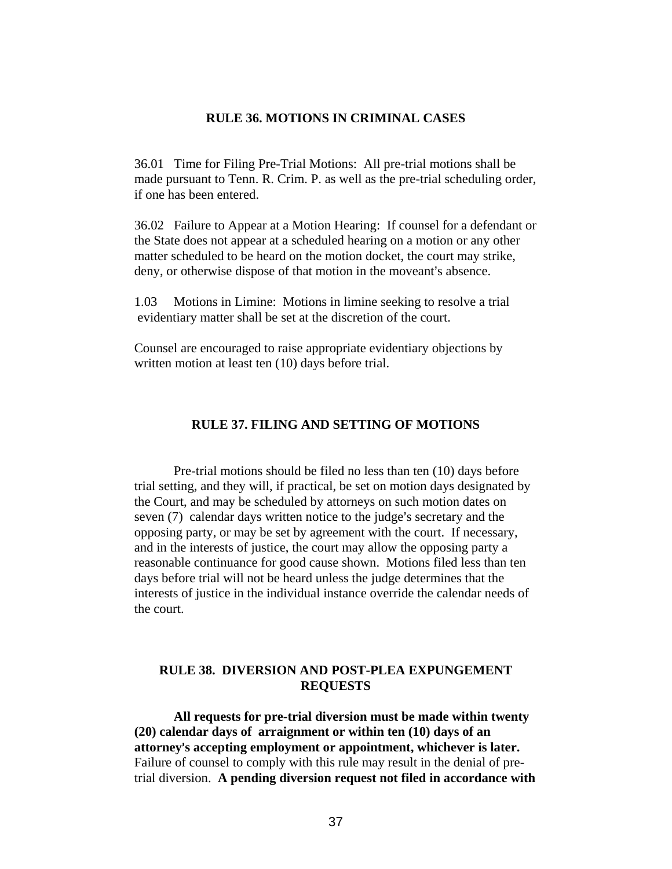### **RULE 36. MOTIONS IN CRIMINAL CASES**

36.01 Time for Filing Pre-Trial Motions: All pre-trial motions shall be made pursuant to Tenn. R. Crim. P. as well as the pre-trial scheduling order, if one has been entered.

36.02 Failure to Appear at a Motion Hearing: If counsel for a defendant or the State does not appear at a scheduled hearing on a motion or any other matter scheduled to be heard on the motion docket, the court may strike, deny, or otherwise dispose of that motion in the moveant's absence.

1.03 Motions in Limine: Motions in limine seeking to resolve a trial evidentiary matter shall be set at the discretion of the court.

Counsel are encouraged to raise appropriate evidentiary objections by written motion at least ten (10) days before trial.

# **RULE 37. FILING AND SETTING OF MOTIONS**

Pre-trial motions should be filed no less than ten (10) days before trial setting, and they will, if practical, be set on motion days designated by the Court, and may be scheduled by attorneys on such motion dates on seven (7) calendar days written notice to the judge's secretary and the opposing party, or may be set by agreement with the court. If necessary, and in the interests of justice, the court may allow the opposing party a reasonable continuance for good cause shown. Motions filed less than ten days before trial will not be heard unless the judge determines that the interests of justice in the individual instance override the calendar needs of the court.

### **RULE 38. DIVERSION AND POST-PLEA EXPUNGEMENT REQUESTS**

**All requests for pre-trial diversion must be made within twenty (20) calendar days of arraignment or within ten (10) days of an attorney**=**s accepting employment or appointment, whichever is later.** Failure of counsel to comply with this rule may result in the denial of pretrial diversion. **A pending diversion request not filed in accordance with**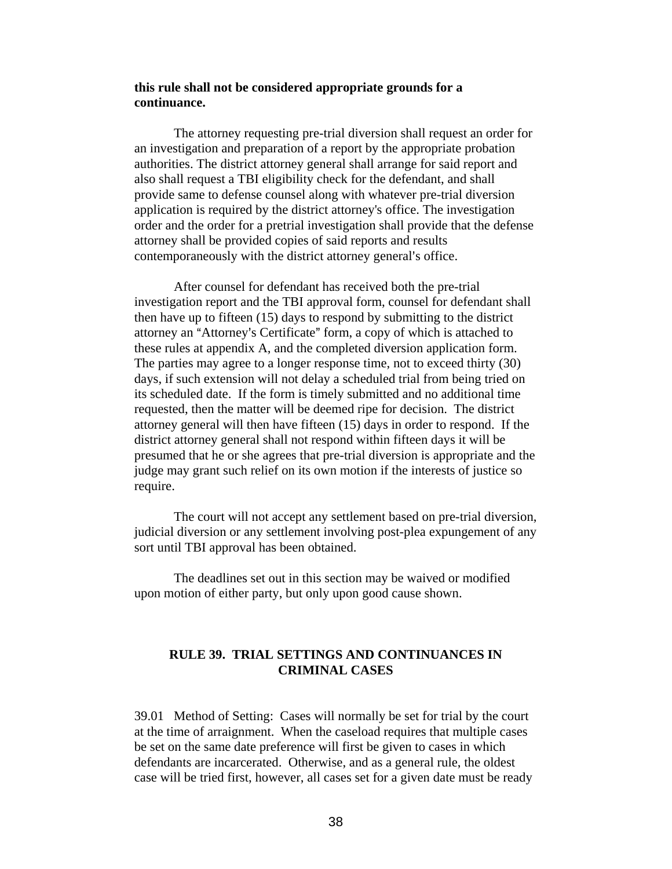### **this rule shall not be considered appropriate grounds for a continuance.**

The attorney requesting pre-trial diversion shall request an order for an investigation and preparation of a report by the appropriate probation authorities. The district attorney general shall arrange for said report and also shall request a TBI eligibility check for the defendant, and shall provide same to defense counsel along with whatever pre-trial diversion application is required by the district attorney's office. The investigation order and the order for a pretrial investigation shall provide that the defense attorney shall be provided copies of said reports and results contemporaneously with the district attorney general's office.

After counsel for defendant has received both the pre-trial investigation report and the TBI approval form, counsel for defendant shall then have up to fifteen (15) days to respond by submitting to the district attorney an "Attorney's Certificate" form, a copy of which is attached to these rules at appendix A, and the completed diversion application form. The parties may agree to a longer response time, not to exceed thirty (30) days, if such extension will not delay a scheduled trial from being tried on its scheduled date. If the form is timely submitted and no additional time requested, then the matter will be deemed ripe for decision. The district attorney general will then have fifteen (15) days in order to respond. If the district attorney general shall not respond within fifteen days it will be presumed that he or she agrees that pre-trial diversion is appropriate and the judge may grant such relief on its own motion if the interests of justice so require.

The court will not accept any settlement based on pre-trial diversion, judicial diversion or any settlement involving post-plea expungement of any sort until TBI approval has been obtained.

The deadlines set out in this section may be waived or modified upon motion of either party, but only upon good cause shown.

# **RULE 39. TRIAL SETTINGS AND CONTINUANCES IN CRIMINAL CASES**

39.01 Method of Setting: Cases will normally be set for trial by the court at the time of arraignment. When the caseload requires that multiple cases be set on the same date preference will first be given to cases in which defendants are incarcerated. Otherwise, and as a general rule, the oldest case will be tried first, however, all cases set for a given date must be ready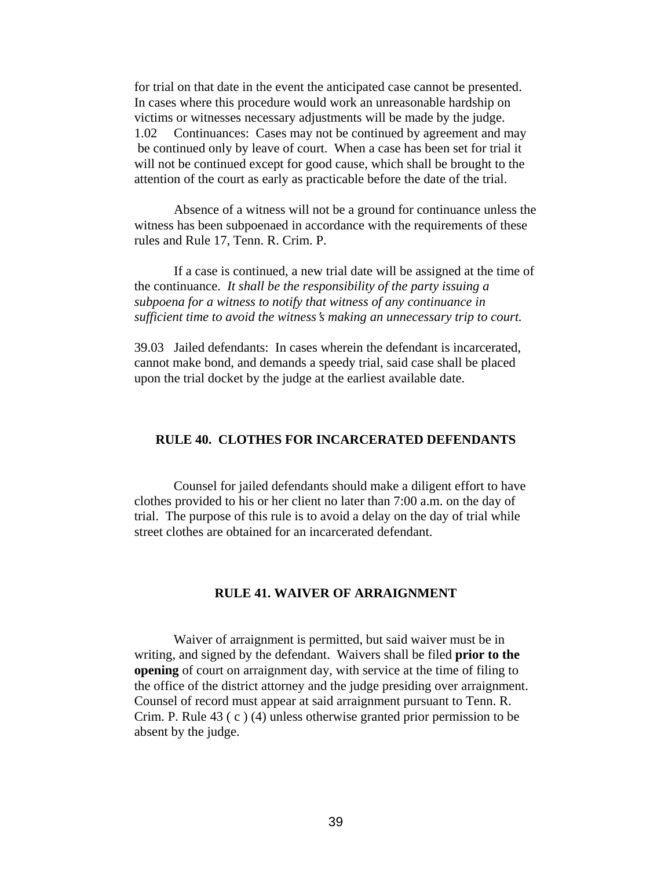for trial on that date in the event the anticipated case cannot be presented. In cases where this procedure would work an unreasonable hardship on victims or witnesses necessary adjustments will be made by the judge. 1.02 Continuances: Cases may not be continued by agreement and may be continued only by leave of court. When a case has been set for trial it will not be continued except for good cause, which shall be brought to the attention of the court as early as practicable before the date of the trial.

Absence of a witness will not be a ground for continuance unless the witness has been subpoenaed in accordance with the requirements of these rules and Rule 17, Tenn. R. Crim. P.

If a case is continued, a new trial date will be assigned at the time of the continuance. *It shall be the responsibility of the party issuing a subpoena for a witness to notify that witness of any continuance in sufficient time to avoid the witness's making an unnecessary trip to court.* 

39.03 Jailed defendants: In cases wherein the defendant is incarcerated, cannot make bond, and demands a speedy trial, said case shall be placed upon the trial docket by the judge at the earliest available date.

### **RULE 40. CLOTHES FOR INCARCERATED DEFENDANTS**

Counsel for jailed defendants should make a diligent effort to have clothes provided to his or her client no later than 7:00 a.m. on the day of trial. The purpose of this rule is to avoid a delay on the day of trial while street clothes are obtained for an incarcerated defendant.

# **RULE 41. WAIVER OF ARRAIGNMENT**

Waiver of arraignment is permitted, but said waiver must be in writing, and signed by the defendant. Waivers shall be filed **prior to the opening** of court on arraignment day, with service at the time of filing to the office of the district attorney and the judge presiding over arraignment. Counsel of record must appear at said arraignment pursuant to Tenn. R. Crim. P. Rule 43 ( c ) (4) unless otherwise granted prior permission to be absent by the judge.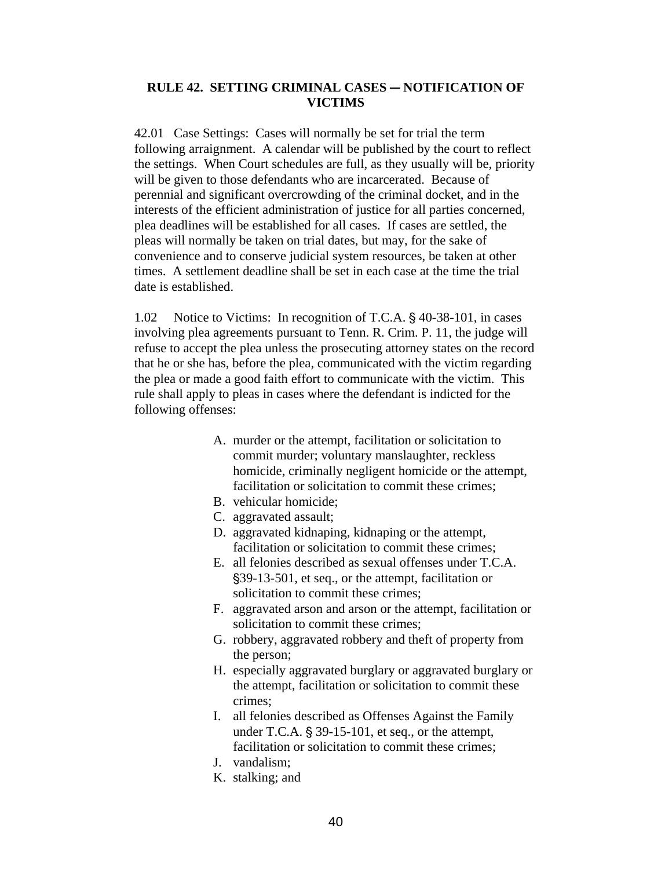# **RULE 42. SETTING CRIMINAL CASES – NOTIFICATION OF VICTIMS**

42.01 Case Settings: Cases will normally be set for trial the term following arraignment. A calendar will be published by the court to reflect the settings. When Court schedules are full, as they usually will be, priority will be given to those defendants who are incarcerated. Because of perennial and significant overcrowding of the criminal docket, and in the interests of the efficient administration of justice for all parties concerned, plea deadlines will be established for all cases. If cases are settled, the pleas will normally be taken on trial dates, but may, for the sake of convenience and to conserve judicial system resources, be taken at other times. A settlement deadline shall be set in each case at the time the trial date is established.

1.02 Notice to Victims: In recognition of T.C.A. § 40-38-101, in cases involving plea agreements pursuant to Tenn. R. Crim. P. 11, the judge will refuse to accept the plea unless the prosecuting attorney states on the record that he or she has, before the plea, communicated with the victim regarding the plea or made a good faith effort to communicate with the victim. This rule shall apply to pleas in cases where the defendant is indicted for the following offenses:

- A. murder or the attempt, facilitation or solicitation to commit murder; voluntary manslaughter, reckless homicide, criminally negligent homicide or the attempt, facilitation or solicitation to commit these crimes:
- B. vehicular homicide;
- C. aggravated assault;
- D. aggravated kidnaping, kidnaping or the attempt, facilitation or solicitation to commit these crimes:
- E. all felonies described as sexual offenses under T.C.A. '39-13-501, et seq., or the attempt, facilitation or solicitation to commit these crimes;
- F. aggravated arson and arson or the attempt, facilitation or solicitation to commit these crimes;
- G. robbery, aggravated robbery and theft of property from the person;
- H. especially aggravated burglary or aggravated burglary or the attempt, facilitation or solicitation to commit these crimes;
- I. all felonies described as Offenses Against the Family under T.C.A.  $\S$  39-15-101, et seq., or the attempt, facilitation or solicitation to commit these crimes;
- J. vandalism;
- K. stalking; and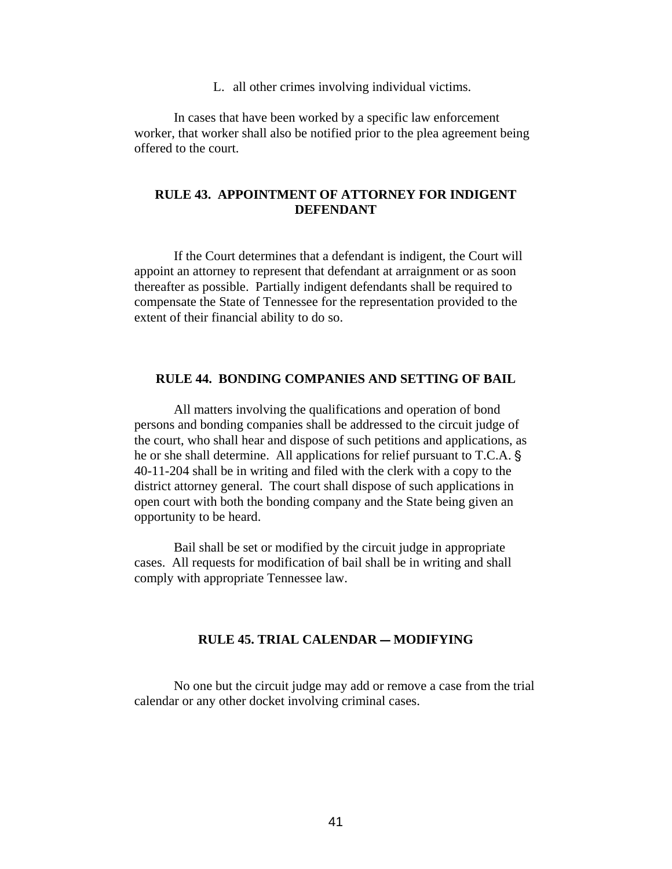L. all other crimes involving individual victims.

In cases that have been worked by a specific law enforcement worker, that worker shall also be notified prior to the plea agreement being offered to the court.

### **RULE 43. APPOINTMENT OF ATTORNEY FOR INDIGENT DEFENDANT**

If the Court determines that a defendant is indigent, the Court will appoint an attorney to represent that defendant at arraignment or as soon thereafter as possible. Partially indigent defendants shall be required to compensate the State of Tennessee for the representation provided to the extent of their financial ability to do so.

### **RULE 44. BONDING COMPANIES AND SETTING OF BAIL**

All matters involving the qualifications and operation of bond persons and bonding companies shall be addressed to the circuit judge of the court, who shall hear and dispose of such petitions and applications, as he or she shall determine. All applications for relief pursuant to T.C.A. § 40-11-204 shall be in writing and filed with the clerk with a copy to the district attorney general. The court shall dispose of such applications in open court with both the bonding company and the State being given an opportunity to be heard.

Bail shall be set or modified by the circuit judge in appropriate cases. All requests for modification of bail shall be in writing and shall comply with appropriate Tennessee law.

## **RULE 45. TRIAL CALENDAR - MODIFYING**

No one but the circuit judge may add or remove a case from the trial calendar or any other docket involving criminal cases.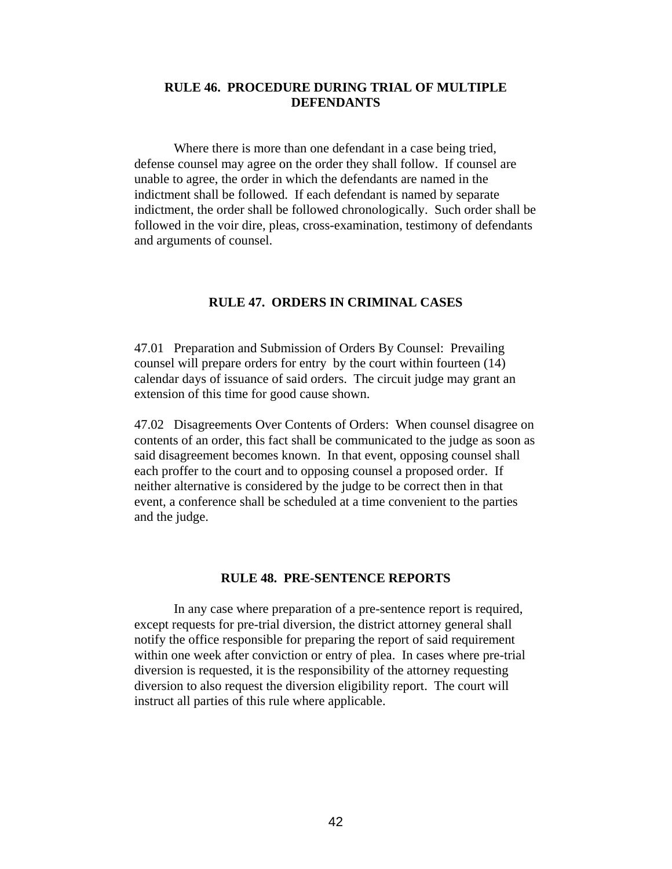# **RULE 46. PROCEDURE DURING TRIAL OF MULTIPLE DEFENDANTS**

Where there is more than one defendant in a case being tried, defense counsel may agree on the order they shall follow. If counsel are unable to agree, the order in which the defendants are named in the indictment shall be followed. If each defendant is named by separate indictment, the order shall be followed chronologically. Such order shall be followed in the voir dire, pleas, cross-examination, testimony of defendants and arguments of counsel.

### **RULE 47. ORDERS IN CRIMINAL CASES**

47.01 Preparation and Submission of Orders By Counsel: Prevailing counsel will prepare orders for entry by the court within fourteen (14) calendar days of issuance of said orders. The circuit judge may grant an extension of this time for good cause shown.

47.02 Disagreements Over Contents of Orders: When counsel disagree on contents of an order, this fact shall be communicated to the judge as soon as said disagreement becomes known. In that event, opposing counsel shall each proffer to the court and to opposing counsel a proposed order. If neither alternative is considered by the judge to be correct then in that event, a conference shall be scheduled at a time convenient to the parties and the judge.

### **RULE 48. PRE-SENTENCE REPORTS**

In any case where preparation of a pre-sentence report is required, except requests for pre-trial diversion, the district attorney general shall notify the office responsible for preparing the report of said requirement within one week after conviction or entry of plea. In cases where pre-trial diversion is requested, it is the responsibility of the attorney requesting diversion to also request the diversion eligibility report. The court will instruct all parties of this rule where applicable.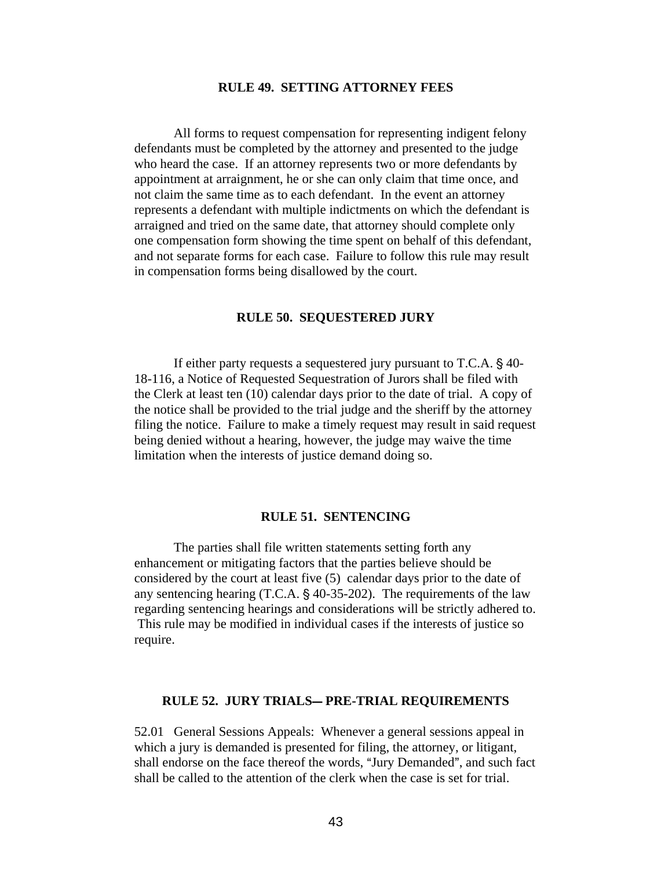## **RULE 49. SETTING ATTORNEY FEES**

All forms to request compensation for representing indigent felony defendants must be completed by the attorney and presented to the judge who heard the case. If an attorney represents two or more defendants by appointment at arraignment, he or she can only claim that time once, and not claim the same time as to each defendant. In the event an attorney represents a defendant with multiple indictments on which the defendant is arraigned and tried on the same date, that attorney should complete only one compensation form showing the time spent on behalf of this defendant, and not separate forms for each case. Failure to follow this rule may result in compensation forms being disallowed by the court.

### **RULE 50. SEQUESTERED JURY**

If either party requests a sequestered jury pursuant to  $T.C.A. § 40-$ 18-116, a Notice of Requested Sequestration of Jurors shall be filed with the Clerk at least ten (10) calendar days prior to the date of trial. A copy of the notice shall be provided to the trial judge and the sheriff by the attorney filing the notice. Failure to make a timely request may result in said request being denied without a hearing, however, the judge may waive the time limitation when the interests of justice demand doing so.

#### **RULE 51. SENTENCING**

The parties shall file written statements setting forth any enhancement or mitigating factors that the parties believe should be considered by the court at least five (5) calendar days prior to the date of any sentencing hearing (T.C.A.  $\S$  40-35-202). The requirements of the law regarding sentencing hearings and considerations will be strictly adhered to. This rule may be modified in individual cases if the interests of justice so require.

### **RULE 52. JURY TRIALS-PRE-TRIAL REQUIREMENTS**

52.01 General Sessions Appeals: Whenever a general sessions appeal in which a jury is demanded is presented for filing, the attorney, or litigant, shall endorse on the face thereof the words, "Jury Demanded", and such fact shall be called to the attention of the clerk when the case is set for trial.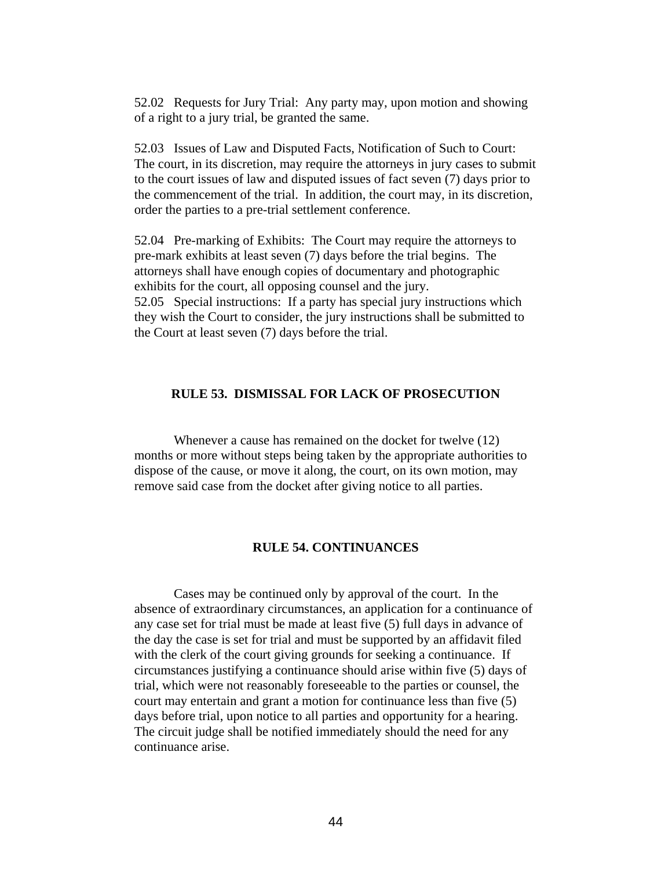52.02 Requests for Jury Trial: Any party may, upon motion and showing of a right to a jury trial, be granted the same.

52.03 Issues of Law and Disputed Facts, Notification of Such to Court: The court, in its discretion, may require the attorneys in jury cases to submit to the court issues of law and disputed issues of fact seven (7) days prior to the commencement of the trial. In addition, the court may, in its discretion, order the parties to a pre-trial settlement conference.

52.04 Pre-marking of Exhibits: The Court may require the attorneys to pre-mark exhibits at least seven (7) days before the trial begins. The attorneys shall have enough copies of documentary and photographic exhibits for the court, all opposing counsel and the jury. 52.05 Special instructions: If a party has special jury instructions which they wish the Court to consider, the jury instructions shall be submitted to the Court at least seven (7) days before the trial.

### **RULE 53. DISMISSAL FOR LACK OF PROSECUTION**

Whenever a cause has remained on the docket for twelve (12) months or more without steps being taken by the appropriate authorities to dispose of the cause, or move it along, the court, on its own motion, may remove said case from the docket after giving notice to all parties.

#### **RULE 54. CONTINUANCES**

Cases may be continued only by approval of the court. In the absence of extraordinary circumstances, an application for a continuance of any case set for trial must be made at least five (5) full days in advance of the day the case is set for trial and must be supported by an affidavit filed with the clerk of the court giving grounds for seeking a continuance. If circumstances justifying a continuance should arise within five (5) days of trial, which were not reasonably foreseeable to the parties or counsel, the court may entertain and grant a motion for continuance less than five (5) days before trial, upon notice to all parties and opportunity for a hearing. The circuit judge shall be notified immediately should the need for any continuance arise.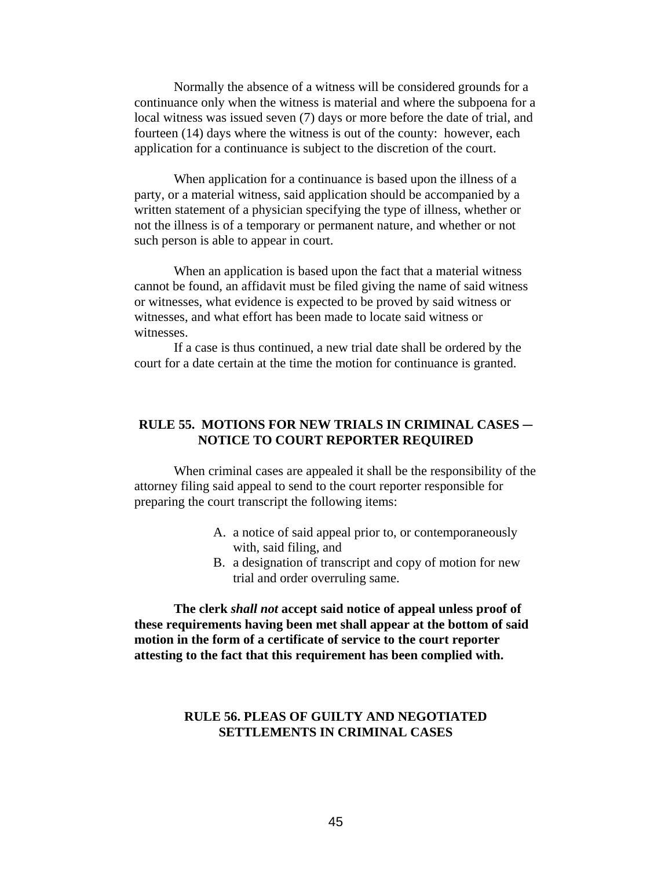Normally the absence of a witness will be considered grounds for a continuance only when the witness is material and where the subpoena for a local witness was issued seven (7) days or more before the date of trial, and fourteen (14) days where the witness is out of the county: however, each application for a continuance is subject to the discretion of the court.

When application for a continuance is based upon the illness of a party, or a material witness, said application should be accompanied by a written statement of a physician specifying the type of illness, whether or not the illness is of a temporary or permanent nature, and whether or not such person is able to appear in court.

When an application is based upon the fact that a material witness cannot be found, an affidavit must be filed giving the name of said witness or witnesses, what evidence is expected to be proved by said witness or witnesses, and what effort has been made to locate said witness or witnesses.

If a case is thus continued, a new trial date shall be ordered by the court for a date certain at the time the motion for continuance is granted.

# **RULE 55. MOTIONS FOR NEW TRIALS IN CRIMINAL CASES – NOTICE TO COURT REPORTER REQUIRED**

When criminal cases are appealed it shall be the responsibility of the attorney filing said appeal to send to the court reporter responsible for preparing the court transcript the following items:

- A. a notice of said appeal prior to, or contemporaneously with, said filing, and
- B. a designation of transcript and copy of motion for new trial and order overruling same.

**The clerk** *shall not* **accept said notice of appeal unless proof of these requirements having been met shall appear at the bottom of said motion in the form of a certificate of service to the court reporter attesting to the fact that this requirement has been complied with.**

# **RULE 56. PLEAS OF GUILTY AND NEGOTIATED SETTLEMENTS IN CRIMINAL CASES**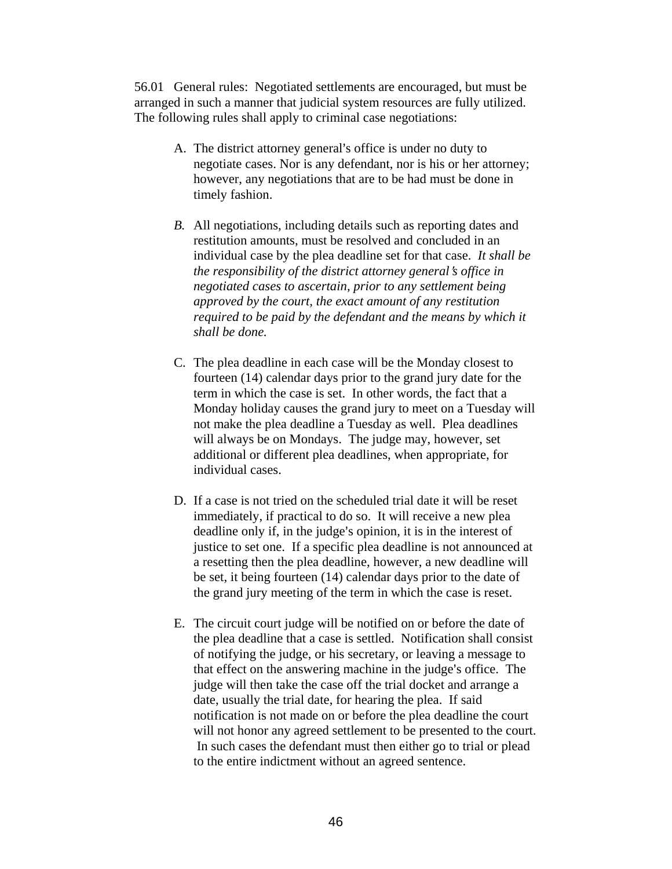56.01 General rules: Negotiated settlements are encouraged, but must be arranged in such a manner that judicial system resources are fully utilized. The following rules shall apply to criminal case negotiations:

- A. The district attorney general's office is under no duty to negotiate cases. Nor is any defendant, nor is his or her attorney; however, any negotiations that are to be had must be done in timely fashion.
- *B.* All negotiations, including details such as reporting dates and restitution amounts, must be resolved and concluded in an individual case by the plea deadline set for that case. *It shall be the responsibility of the district attorney general's office in negotiated cases to ascertain, prior to any settlement being approved by the court, the exact amount of any restitution required to be paid by the defendant and the means by which it shall be done.*
- C. The plea deadline in each case will be the Monday closest to fourteen (14) calendar days prior to the grand jury date for the term in which the case is set. In other words, the fact that a Monday holiday causes the grand jury to meet on a Tuesday will not make the plea deadline a Tuesday as well. Plea deadlines will always be on Mondays. The judge may, however, set additional or different plea deadlines, when appropriate, for individual cases.
- D. If a case is not tried on the scheduled trial date it will be reset immediately, if practical to do so. It will receive a new plea deadline only if, in the judge's opinion, it is in the interest of justice to set one. If a specific plea deadline is not announced at a resetting then the plea deadline, however, a new deadline will be set, it being fourteen (14) calendar days prior to the date of the grand jury meeting of the term in which the case is reset.
- E. The circuit court judge will be notified on or before the date of the plea deadline that a case is settled. Notification shall consist of notifying the judge, or his secretary, or leaving a message to that effect on the answering machine in the judge's office. The judge will then take the case off the trial docket and arrange a date, usually the trial date, for hearing the plea. If said notification is not made on or before the plea deadline the court will not honor any agreed settlement to be presented to the court. In such cases the defendant must then either go to trial or plead to the entire indictment without an agreed sentence.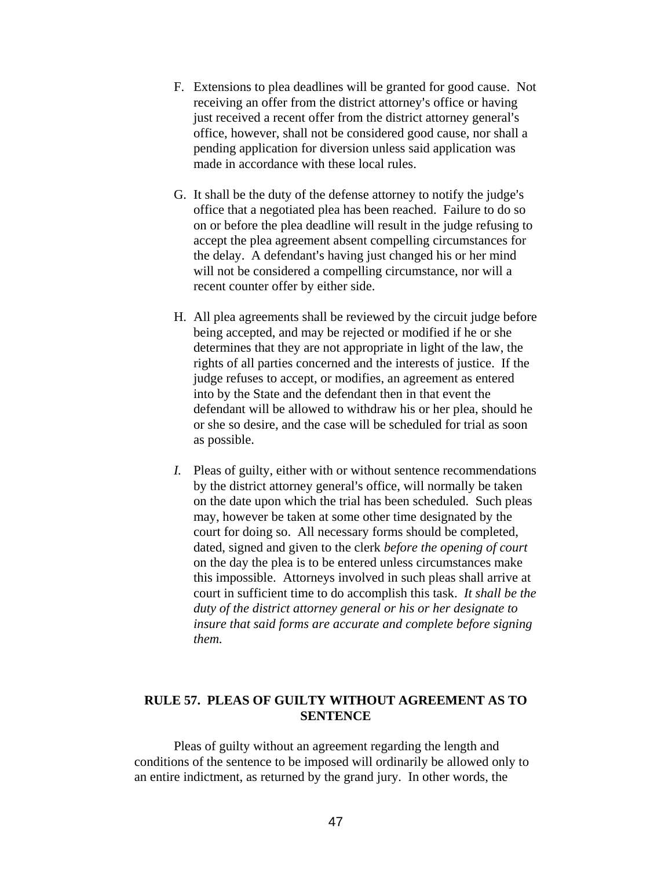- F. Extensions to plea deadlines will be granted for good cause. Not receiving an offer from the district attorney's office or having just received a recent offer from the district attorney general's office, however, shall not be considered good cause, nor shall a pending application for diversion unless said application was made in accordance with these local rules.
- G. It shall be the duty of the defense attorney to notify the judge's office that a negotiated plea has been reached. Failure to do so on or before the plea deadline will result in the judge refusing to accept the plea agreement absent compelling circumstances for the delay. A defendant's having just changed his or her mind will not be considered a compelling circumstance, nor will a recent counter offer by either side.
- H. All plea agreements shall be reviewed by the circuit judge before being accepted, and may be rejected or modified if he or she determines that they are not appropriate in light of the law, the rights of all parties concerned and the interests of justice. If the judge refuses to accept, or modifies, an agreement as entered into by the State and the defendant then in that event the defendant will be allowed to withdraw his or her plea, should he or she so desire, and the case will be scheduled for trial as soon as possible.
- *I.* Pleas of guilty, either with or without sentence recommendations by the district attorney general's office, will normally be taken on the date upon which the trial has been scheduled. Such pleas may, however be taken at some other time designated by the court for doing so. All necessary forms should be completed, dated, signed and given to the clerk *before the opening of court* on the day the plea is to be entered unless circumstances make this impossible. Attorneys involved in such pleas shall arrive at court in sufficient time to do accomplish this task. *It shall be the duty of the district attorney general or his or her designate to insure that said forms are accurate and complete before signing them.*

# **RULE 57. PLEAS OF GUILTY WITHOUT AGREEMENT AS TO SENTENCE**

Pleas of guilty without an agreement regarding the length and conditions of the sentence to be imposed will ordinarily be allowed only to an entire indictment, as returned by the grand jury. In other words, the